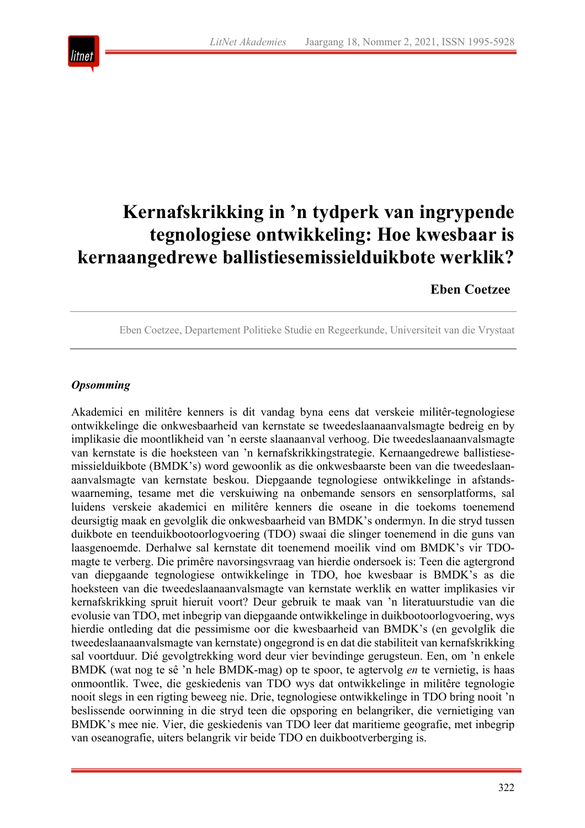

# **Kernafskrikking in 'n tydperk van ingrypende tegnologiese ontwikkeling: Hoe kwesbaar is kernaangedrewe ballistiesemissielduikbote werklik?**

# **Eben Coetzee**

Eben Coetzee, Departement Politieke Studie en Regeerkunde, Universiteit van die Vrystaat

## *Opsomming*

Akademici en militêre kenners is dit vandag byna eens dat verskeie militêr-tegnologiese ontwikkelinge die onkwesbaarheid van kernstate se tweedeslaanaanvalsmagte bedreig en by implikasie die moontlikheid van 'n eerste slaanaanval verhoog. Die tweedeslaanaanvalsmagte van kernstate is die hoeksteen van 'n kernafskrikkingstrategie. Kernaangedrewe ballistiesemissielduikbote (BMDK's) word gewoonlik as die onkwesbaarste been van die tweedeslaanaanvalsmagte van kernstate beskou. Diepgaande tegnologiese ontwikkelinge in afstandswaarneming, tesame met die verskuiwing na onbemande sensors en sensorplatforms, sal luidens verskeie akademici en militêre kenners die oseane in die toekoms toenemend deursigtig maak en gevolglik die onkwesbaarheid van BMDK's ondermyn. In die stryd tussen duikbote en teenduikbootoorlogvoering (TDO) swaai die slinger toenemend in die guns van laasgenoemde. Derhalwe sal kernstate dit toenemend moeilik vind om BMDK's vir TDOmagte te verberg. Die primêre navorsingsvraag van hierdie ondersoek is: Teen die agtergrond van diepgaande tegnologiese ontwikkelinge in TDO, hoe kwesbaar is BMDK's as die hoeksteen van die tweedeslaanaanvalsmagte van kernstate werklik en watter implikasies vir kernafskrikking spruit hieruit voort? Deur gebruik te maak van 'n literatuurstudie van die evolusie van TDO, met inbegrip van diepgaande ontwikkelinge in duikbootoorlogvoering, wys hierdie ontleding dat die pessimisme oor die kwesbaarheid van BMDK's (en gevolglik die tweedeslaanaanvalsmagte van kernstate) ongegrond is en dat die stabiliteit van kernafskrikking sal voortduur. Dié gevolgtrekking word deur vier bevindinge gerugsteun. Een, om 'n enkele BMDK (wat nog te sê 'n hele BMDK-mag) op te spoor, te agtervolg *en* te vernietig, is haas onmoontlik. Twee, die geskiedenis van TDO wys dat ontwikkelinge in militêre tegnologie nooit slegs in een rigting beweeg nie. Drie, tegnologiese ontwikkelinge in TDO bring nooit 'n beslissende oorwinning in die stryd teen die opsporing en belangriker, die vernietiging van BMDK's mee nie. Vier, die geskiedenis van TDO leer dat maritieme geografie, met inbegrip van oseanografie, uiters belangrik vir beide TDO en duikbootverberging is.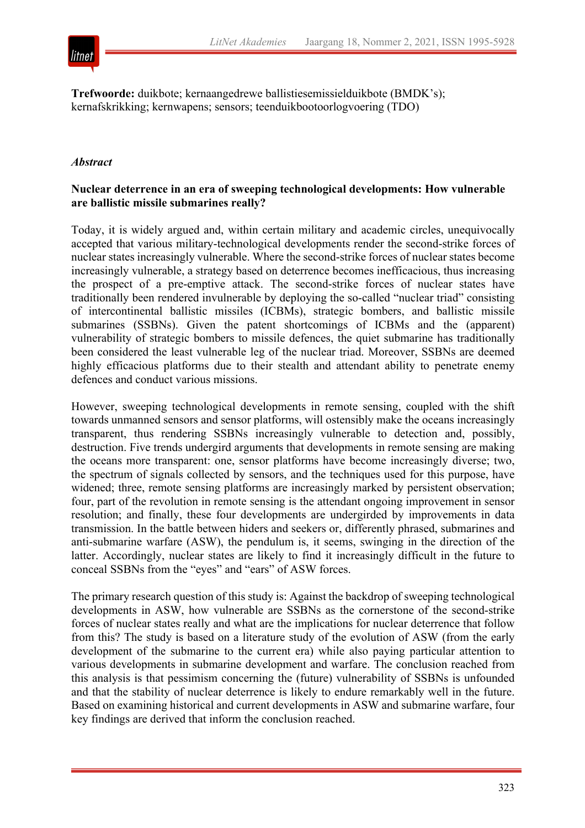

**Trefwoorde:** duikbote; kernaangedrewe ballistiesemissielduikbote (BMDK's); kernafskrikking; kernwapens; sensors; teenduikbootoorlogvoering (TDO)

## *Abstract*

#### **Nuclear deterrence in an era of sweeping technological developments: How vulnerable are ballistic missile submarines really?**

Today, it is widely argued and, within certain military and academic circles, unequivocally accepted that various military-technological developments render the second-strike forces of nuclear states increasingly vulnerable. Where the second-strike forces of nuclear states become increasingly vulnerable, a strategy based on deterrence becomes inefficacious, thus increasing the prospect of a pre-emptive attack. The second-strike forces of nuclear states have traditionally been rendered invulnerable by deploying the so-called "nuclear triad" consisting of intercontinental ballistic missiles (ICBMs), strategic bombers, and ballistic missile submarines (SSBNs). Given the patent shortcomings of ICBMs and the (apparent) vulnerability of strategic bombers to missile defences, the quiet submarine has traditionally been considered the least vulnerable leg of the nuclear triad. Moreover, SSBNs are deemed highly efficacious platforms due to their stealth and attendant ability to penetrate enemy defences and conduct various missions.

However, sweeping technological developments in remote sensing, coupled with the shift towards unmanned sensors and sensor platforms, will ostensibly make the oceans increasingly transparent, thus rendering SSBNs increasingly vulnerable to detection and, possibly, destruction. Five trends undergird arguments that developments in remote sensing are making the oceans more transparent: one, sensor platforms have become increasingly diverse; two, the spectrum of signals collected by sensors, and the techniques used for this purpose, have widened; three, remote sensing platforms are increasingly marked by persistent observation; four, part of the revolution in remote sensing is the attendant ongoing improvement in sensor resolution; and finally, these four developments are undergirded by improvements in data transmission. In the battle between hiders and seekers or, differently phrased, submarines and anti-submarine warfare (ASW), the pendulum is, it seems, swinging in the direction of the latter. Accordingly, nuclear states are likely to find it increasingly difficult in the future to conceal SSBNs from the "eyes" and "ears" of ASW forces.

The primary research question of this study is: Against the backdrop of sweeping technological developments in ASW, how vulnerable are SSBNs as the cornerstone of the second-strike forces of nuclear states really and what are the implications for nuclear deterrence that follow from this? The study is based on a literature study of the evolution of ASW (from the early development of the submarine to the current era) while also paying particular attention to various developments in submarine development and warfare. The conclusion reached from this analysis is that pessimism concerning the (future) vulnerability of SSBNs is unfounded and that the stability of nuclear deterrence is likely to endure remarkably well in the future. Based on examining historical and current developments in ASW and submarine warfare, four key findings are derived that inform the conclusion reached.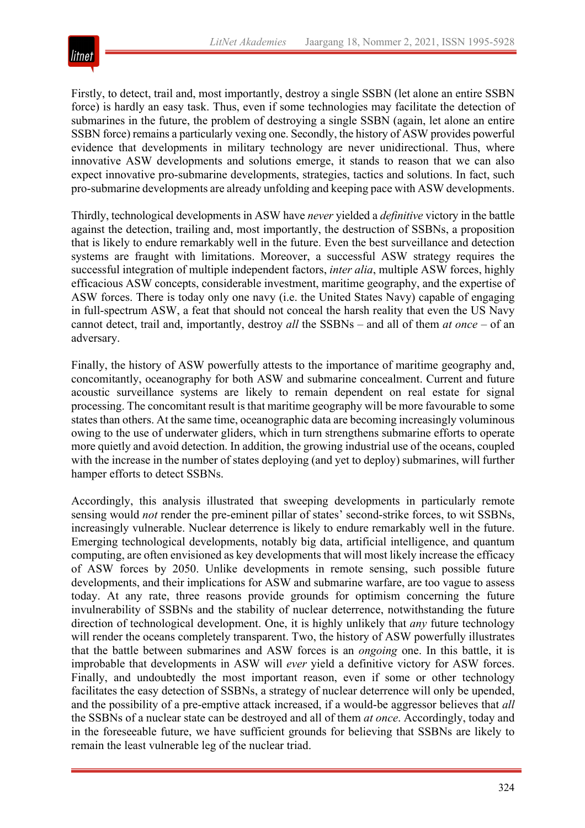

Firstly, to detect, trail and, most importantly, destroy a single SSBN (let alone an entire SSBN force) is hardly an easy task. Thus, even if some technologies may facilitate the detection of submarines in the future, the problem of destroying a single SSBN (again, let alone an entire SSBN force) remains a particularly vexing one. Secondly, the history of ASW provides powerful evidence that developments in military technology are never unidirectional. Thus, where innovative ASW developments and solutions emerge, it stands to reason that we can also expect innovative pro-submarine developments, strategies, tactics and solutions. In fact, such pro-submarine developments are already unfolding and keeping pace with ASW developments.

Thirdly, technological developments in ASW have *never* yielded a *definitive* victory in the battle against the detection, trailing and, most importantly, the destruction of SSBNs, a proposition that is likely to endure remarkably well in the future. Even the best surveillance and detection systems are fraught with limitations. Moreover, a successful ASW strategy requires the successful integration of multiple independent factors, *inter alia*, multiple ASW forces, highly efficacious ASW concepts, considerable investment, maritime geography, and the expertise of ASW forces. There is today only one navy (i.e. the United States Navy) capable of engaging in full-spectrum ASW, a feat that should not conceal the harsh reality that even the US Navy cannot detect, trail and, importantly, destroy *all* the SSBNs – and all of them *at once* – of an adversary.

Finally, the history of ASW powerfully attests to the importance of maritime geography and, concomitantly, oceanography for both ASW and submarine concealment. Current and future acoustic surveillance systems are likely to remain dependent on real estate for signal processing. The concomitant result is that maritime geography will be more favourable to some states than others. At the same time, oceanographic data are becoming increasingly voluminous owing to the use of underwater gliders, which in turn strengthens submarine efforts to operate more quietly and avoid detection. In addition, the growing industrial use of the oceans, coupled with the increase in the number of states deploying (and yet to deploy) submarines, will further hamper efforts to detect SSBNs.

Accordingly, this analysis illustrated that sweeping developments in particularly remote sensing would *not* render the pre-eminent pillar of states' second-strike forces, to wit SSBNs, increasingly vulnerable. Nuclear deterrence is likely to endure remarkably well in the future. Emerging technological developments, notably big data, artificial intelligence, and quantum computing, are often envisioned as key developments that will most likely increase the efficacy of ASW forces by 2050. Unlike developments in remote sensing, such possible future developments, and their implications for ASW and submarine warfare, are too vague to assess today. At any rate, three reasons provide grounds for optimism concerning the future invulnerability of SSBNs and the stability of nuclear deterrence, notwithstanding the future direction of technological development. One, it is highly unlikely that *any* future technology will render the oceans completely transparent. Two, the history of ASW powerfully illustrates that the battle between submarines and ASW forces is an *ongoing* one. In this battle, it is improbable that developments in ASW will *ever* yield a definitive victory for ASW forces. Finally, and undoubtedly the most important reason, even if some or other technology facilitates the easy detection of SSBNs, a strategy of nuclear deterrence will only be upended, and the possibility of a pre-emptive attack increased, if a would-be aggressor believes that *all* the SSBNs of a nuclear state can be destroyed and all of them *at once*. Accordingly, today and in the foreseeable future, we have sufficient grounds for believing that SSBNs are likely to remain the least vulnerable leg of the nuclear triad.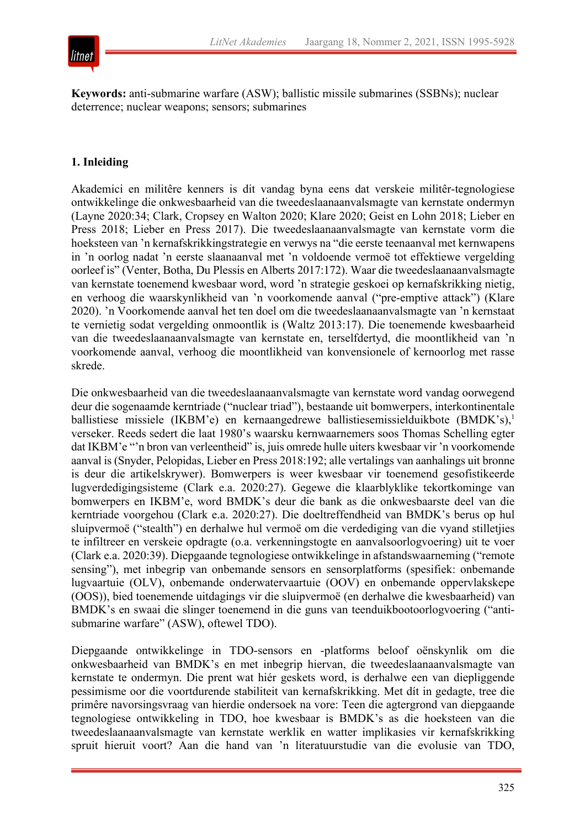

**Keywords:** anti-submarine warfare (ASW); ballistic missile submarines (SSBNs); nuclear deterrence; nuclear weapons; sensors; submarines

# **1. Inleiding**

Akademici en militêre kenners is dit vandag byna eens dat verskeie militêr-tegnologiese ontwikkelinge die onkwesbaarheid van die tweedeslaanaanvalsmagte van kernstate ondermyn (Layne 2020:34; Clark, Cropsey en Walton 2020; Klare 2020; Geist en Lohn 2018; Lieber en Press 2018; Lieber en Press 2017). Die tweedeslaanaanvalsmagte van kernstate vorm die hoeksteen van 'n kernafskrikkingstrategie en verwys na "die eerste teenaanval met kernwapens in 'n oorlog nadat 'n eerste slaanaanval met 'n voldoende vermoë tot effektiewe vergelding oorleef is" (Venter, Botha, Du Plessis en Alberts 2017:172). Waar die tweedeslaanaanvalsmagte van kernstate toenemend kwesbaar word, word 'n strategie geskoei op kernafskrikking nietig, en verhoog die waarskynlikheid van 'n voorkomende aanval ("pre-emptive attack") (Klare 2020). 'n Voorkomende aanval het ten doel om die tweedeslaanaanvalsmagte van 'n kernstaat te vernietig sodat vergelding onmoontlik is (Waltz 2013:17). Die toenemende kwesbaarheid van die tweedeslaanaanvalsmagte van kernstate en, terselfdertyd, die moontlikheid van 'n voorkomende aanval, verhoog die moontlikheid van konvensionele of kernoorlog met rasse skrede.

Die onkwesbaarheid van die tweedeslaanaanvalsmagte van kernstate word vandag oorwegend deur die sogenaamde kerntriade ("nuclear triad"), bestaande uit bomwerpers, interkontinentale ballistiese missiele (IKBM'e) en kernaangedrewe ballistiesemissielduikbote (BMDK's),<sup>1</sup> verseker. Reeds sedert die laat 1980's waarsku kernwaarnemers soos Thomas Schelling egter dat IKBM'e "'n bron van verleentheid" is, juis omrede hulle uiters kwesbaar vir 'n voorkomende aanval is (Snyder, Pelopidas, Lieber en Press 2018:192; alle vertalings van aanhalings uit bronne is deur die artikelskrywer). Bomwerpers is weer kwesbaar vir toenemend gesofistikeerde lugverdedigingsisteme (Clark e.a. 2020:27). Gegewe die klaarblyklike tekortkominge van bomwerpers en IKBM'e, word BMDK's deur die bank as die onkwesbaarste deel van die kerntriade voorgehou (Clark e.a. 2020:27). Die doeltreffendheid van BMDK's berus op hul sluipvermoë ("stealth") en derhalwe hul vermoë om die verdediging van die vyand stilletjies te infiltreer en verskeie opdragte (o.a. verkenningstogte en aanvalsoorlogvoering) uit te voer (Clark e.a. 2020:39). Diepgaande tegnologiese ontwikkelinge in afstandswaarneming ("remote sensing"), met inbegrip van onbemande sensors en sensorplatforms (spesifiek: onbemande lugvaartuie (OLV), onbemande onderwatervaartuie (OOV) en onbemande oppervlakskepe (OOS)), bied toenemende uitdagings vir die sluipvermoë (en derhalwe die kwesbaarheid) van BMDK's en swaai die slinger toenemend in die guns van teenduikbootoorlogvoering ("antisubmarine warfare" (ASW), oftewel TDO).

Diepgaande ontwikkelinge in TDO-sensors en -platforms beloof oënskynlik om die onkwesbaarheid van BMDK's en met inbegrip hiervan, die tweedeslaanaanvalsmagte van kernstate te ondermyn. Die prent wat hiér geskets word, is derhalwe een van diepliggende pessimisme oor die voortdurende stabiliteit van kernafskrikking. Met dít in gedagte, tree die primêre navorsingsvraag van hierdie ondersoek na vore: Teen die agtergrond van diepgaande tegnologiese ontwikkeling in TDO, hoe kwesbaar is BMDK's as die hoeksteen van die tweedeslaanaanvalsmagte van kernstate werklik en watter implikasies vir kernafskrikking spruit hieruit voort? Aan die hand van 'n literatuurstudie van die evolusie van TDO,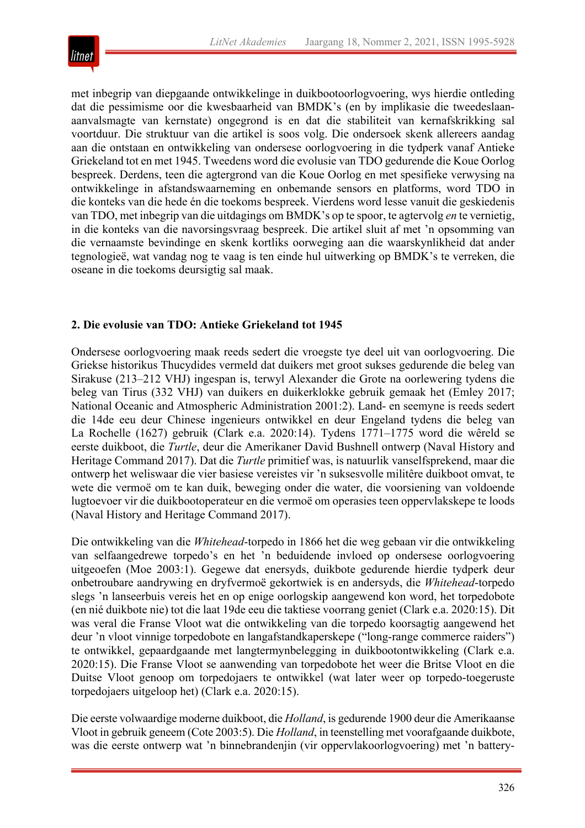

met inbegrip van diepgaande ontwikkelinge in duikbootoorlogvoering, wys hierdie ontleding dat die pessimisme oor die kwesbaarheid van BMDK's (en by implikasie die tweedeslaanaanvalsmagte van kernstate) ongegrond is en dat die stabiliteit van kernafskrikking sal voortduur. Die struktuur van die artikel is soos volg. Die ondersoek skenk allereers aandag aan die ontstaan en ontwikkeling van ondersese oorlogvoering in die tydperk vanaf Antieke Griekeland tot en met 1945. Tweedens word die evolusie van TDO gedurende die Koue Oorlog bespreek. Derdens, teen die agtergrond van die Koue Oorlog en met spesifieke verwysing na ontwikkelinge in afstandswaarneming en onbemande sensors en platforms, word TDO in die konteks van die hede én die toekoms bespreek. Vierdens word lesse vanuit die geskiedenis van TDO, met inbegrip van die uitdagings om BMDK's op te spoor, te agtervolg *en* te vernietig, in die konteks van die navorsingsvraag bespreek. Die artikel sluit af met 'n opsomming van die vernaamste bevindinge en skenk kortliks oorweging aan die waarskynlikheid dat ander tegnologieë, wat vandag nog te vaag is ten einde hul uitwerking op BMDK's te verreken, die oseane in die toekoms deursigtig sal maak.

## **2. Die evolusie van TDO: Antieke Griekeland tot 1945**

Ondersese oorlogvoering maak reeds sedert die vroegste tye deel uit van oorlogvoering. Die Griekse historikus Thucydides vermeld dat duikers met groot sukses gedurende die beleg van Sirakuse (213–212 VHJ) ingespan is, terwyl Alexander die Grote na oorlewering tydens die beleg van Tirus (332 VHJ) van duikers en duikerklokke gebruik gemaak het (Emley 2017; National Oceanic and Atmospheric Administration 2001:2). Land- en seemyne is reeds sedert die 14de eeu deur Chinese ingenieurs ontwikkel en deur Engeland tydens die beleg van La Rochelle (1627) gebruik (Clark e.a. 2020:14). Tydens 1771–1775 word die wêreld se eerste duikboot, die *Turtle*, deur die Amerikaner David Bushnell ontwerp (Naval History and Heritage Command 2017). Dat die *Turtle* primitief was, is natuurlik vanselfsprekend, maar die ontwerp het weliswaar die vier basiese vereistes vir 'n suksesvolle militêre duikboot omvat, te wete die vermoë om te kan duik, beweging onder die water, die voorsiening van voldoende lugtoevoer vir die duikbootoperateur en die vermoë om operasies teen oppervlakskepe te loods (Naval History and Heritage Command 2017).

Die ontwikkeling van die *Whitehead*-torpedo in 1866 het die weg gebaan vir die ontwikkeling van selfaangedrewe torpedo's en het 'n beduidende invloed op ondersese oorlogvoering uitgeoefen (Moe 2003:1). Gegewe dat enersyds, duikbote gedurende hierdie tydperk deur onbetroubare aandrywing en dryfvermoë gekortwiek is en andersyds, die *Whitehead*-torpedo slegs 'n lanseerbuis vereis het en op enige oorlogskip aangewend kon word, het torpedobote (en nié duikbote nie) tot die laat 19de eeu die taktiese voorrang geniet (Clark e.a. 2020:15). Dit was veral die Franse Vloot wat die ontwikkeling van die torpedo koorsagtig aangewend het deur 'n vloot vinnige torpedobote en langafstandkaperskepe ("long-range commerce raiders") te ontwikkel, gepaardgaande met langtermynbelegging in duikbootontwikkeling (Clark e.a. 2020:15). Die Franse Vloot se aanwending van torpedobote het weer die Britse Vloot en die Duitse Vloot genoop om torpedojaers te ontwikkel (wat later weer op torpedo-toegeruste torpedojaers uitgeloop het) (Clark e.a. 2020:15).

Die eerste volwaardige moderne duikboot, die *Holland*, is gedurende 1900 deur die Amerikaanse Vloot in gebruik geneem (Cote 2003:5). Die *Holland*, in teenstelling met voorafgaande duikbote, was die eerste ontwerp wat 'n binnebrandenjin (vir oppervlakoorlogvoering) met 'n battery-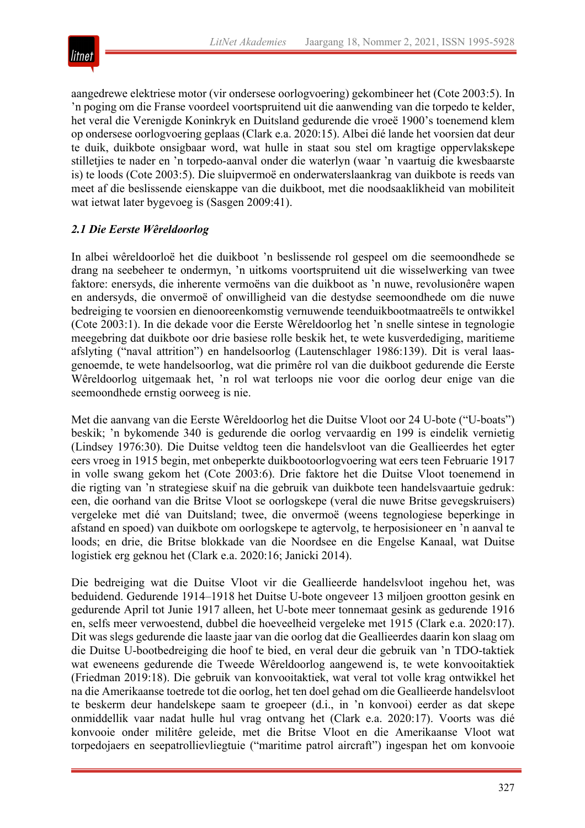

aangedrewe elektriese motor (vir ondersese oorlogvoering) gekombineer het (Cote 2003:5). In 'n poging om die Franse voordeel voortspruitend uit die aanwending van die torpedo te kelder, het veral die Verenigde Koninkryk en Duitsland gedurende die vroeë 1900's toenemend klem op ondersese oorlogvoering geplaas (Clark e.a. 2020:15). Albei dié lande het voorsien dat deur te duik, duikbote onsigbaar word, wat hulle in staat sou stel om kragtige oppervlakskepe stilletjies te nader en 'n torpedo-aanval onder die waterlyn (waar 'n vaartuig die kwesbaarste is) te loods (Cote 2003:5). Die sluipvermoë en onderwaterslaankrag van duikbote is reeds van meet af die beslissende eienskappe van die duikboot, met die noodsaaklikheid van mobiliteit wat ietwat later bygevoeg is (Sasgen 2009:41).

# *2.1 Die Eerste Wêreldoorlog*

In albei wêreldoorloë het die duikboot 'n beslissende rol gespeel om die seemoondhede se drang na seebeheer te ondermyn, 'n uitkoms voortspruitend uit die wisselwerking van twee faktore: enersyds, die inherente vermoëns van die duikboot as 'n nuwe, revolusionêre wapen en andersyds, die onvermoë of onwilligheid van die destydse seemoondhede om die nuwe bedreiging te voorsien en dienooreenkomstig vernuwende teenduikbootmaatreëls te ontwikkel (Cote 2003:1). In die dekade voor die Eerste Wêreldoorlog het 'n snelle sintese in tegnologie meegebring dat duikbote oor drie basiese rolle beskik het, te wete kusverdediging, maritieme afslyting ("naval attrition") en handelsoorlog (Lautenschlager 1986:139). Dit is veral laasgenoemde, te wete handelsoorlog, wat die primêre rol van die duikboot gedurende die Eerste Wêreldoorlog uitgemaak het, 'n rol wat terloops nie voor die oorlog deur enige van die seemoondhede ernstig oorweeg is nie.

Met die aanvang van die Eerste Wêreldoorlog het die Duitse Vloot oor 24 U-bote ("U-boats") beskik; 'n bykomende 340 is gedurende die oorlog vervaardig en 199 is eindelik vernietig (Lindsey 1976:30). Die Duitse veldtog teen die handelsvloot van die Geallieerdes het egter eers vroeg in 1915 begin, met onbeperkte duikbootoorlogvoering wat eers teen Februarie 1917 in volle swang gekom het (Cote 2003:6). Drie faktore het die Duitse Vloot toenemend in die rigting van 'n strategiese skuif na die gebruik van duikbote teen handelsvaartuie gedruk: een, die oorhand van die Britse Vloot se oorlogskepe (veral die nuwe Britse gevegskruisers) vergeleke met dié van Duitsland; twee, die onvermoë (weens tegnologiese beperkinge in afstand en spoed) van duikbote om oorlogskepe te agtervolg, te herposisioneer en 'n aanval te loods; en drie, die Britse blokkade van die Noordsee en die Engelse Kanaal, wat Duitse logistiek erg geknou het (Clark e.a. 2020:16; Janicki 2014).

Die bedreiging wat die Duitse Vloot vir die Geallieerde handelsvloot ingehou het, was beduidend. Gedurende 1914–1918 het Duitse U-bote ongeveer 13 miljoen grootton gesink en gedurende April tot Junie 1917 alleen, het U-bote meer tonnemaat gesink as gedurende 1916 en, selfs meer verwoestend, dubbel die hoeveelheid vergeleke met 1915 (Clark e.a. 2020:17). Dit was slegs gedurende die laaste jaar van die oorlog dat die Geallieerdes daarin kon slaag om die Duitse U-bootbedreiging die hoof te bied, en veral deur die gebruik van 'n TDO-taktiek wat eweneens gedurende die Tweede Wêreldoorlog aangewend is, te wete konvooitaktiek (Friedman 2019:18). Die gebruik van konvooitaktiek, wat veral tot volle krag ontwikkel het na die Amerikaanse toetrede tot die oorlog, het ten doel gehad om die Geallieerde handelsvloot te beskerm deur handelskepe saam te groepeer (d.i., in 'n konvooi) eerder as dat skepe onmiddellik vaar nadat hulle hul vrag ontvang het (Clark e.a. 2020:17). Voorts was dié konvooie onder militêre geleide, met die Britse Vloot en die Amerikaanse Vloot wat torpedojaers en seepatrollievliegtuie ("maritime patrol aircraft") ingespan het om konvooie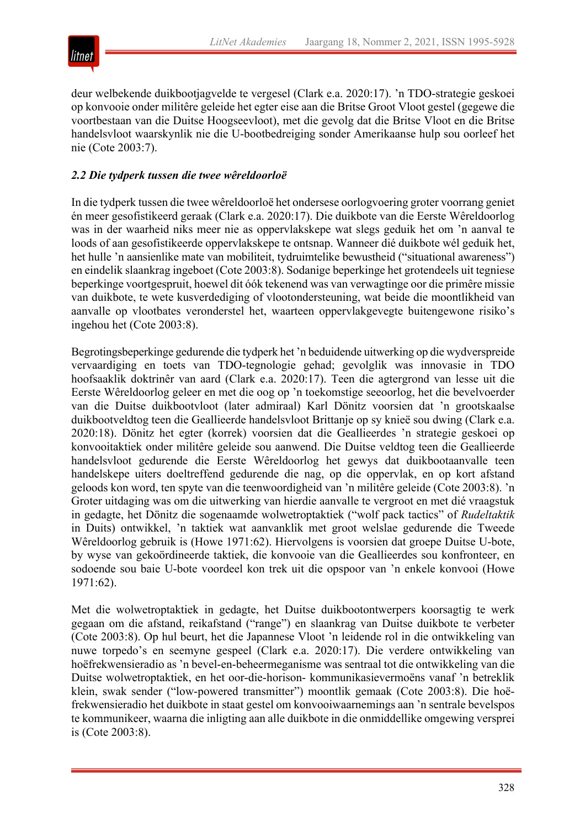

deur welbekende duikbootjagvelde te vergesel (Clark e.a. 2020:17). 'n TDO-strategie geskoei op konvooie onder militêre geleide het egter eise aan die Britse Groot Vloot gestel (gegewe die voortbestaan van die Duitse Hoogseevloot), met die gevolg dat die Britse Vloot en die Britse handelsvloot waarskynlik nie die U-bootbedreiging sonder Amerikaanse hulp sou oorleef het nie (Cote 2003:7).

# *2.2 Die tydperk tussen die twee wêreldoorloë*

In die tydperk tussen die twee wêreldoorloë het ondersese oorlogvoering groter voorrang geniet én meer gesofistikeerd geraak (Clark e.a. 2020:17). Die duikbote van die Eerste Wêreldoorlog was in der waarheid niks meer nie as oppervlakskepe wat slegs geduik het om 'n aanval te loods of aan gesofistikeerde oppervlakskepe te ontsnap. Wanneer dié duikbote wél geduik het, het hulle 'n aansienlike mate van mobiliteit, tydruimtelike bewustheid ("situational awareness") en eindelik slaankrag ingeboet (Cote 2003:8). Sodanige beperkinge het grotendeels uit tegniese beperkinge voortgespruit, hoewel dit óók tekenend was van verwagtinge oor die primêre missie van duikbote, te wete kusverdediging of vlootondersteuning, wat beide die moontlikheid van aanvalle op vlootbates veronderstel het, waarteen oppervlakgevegte buitengewone risiko's ingehou het (Cote 2003:8).

Begrotingsbeperkinge gedurende die tydperk het 'n beduidende uitwerking op die wydverspreide vervaardiging en toets van TDO-tegnologie gehad; gevolglik was innovasie in TDO hoofsaaklik doktrinêr van aard (Clark e.a. 2020:17). Teen die agtergrond van lesse uit die Eerste Wêreldoorlog geleer en met die oog op 'n toekomstige seeoorlog, het die bevelvoerder van die Duitse duikbootvloot (later admiraal) Karl Dönitz voorsien dat 'n grootskaalse duikbootveldtog teen die Geallieerde handelsvloot Brittanje op sy knieë sou dwing (Clark e.a. 2020:18). Dönitz het egter (korrek) voorsien dat die Geallieerdes 'n strategie geskoei op konvooitaktiek onder militêre geleide sou aanwend. Die Duitse veldtog teen die Geallieerde handelsvloot gedurende die Eerste Wêreldoorlog het gewys dat duikbootaanvalle teen handelskepe uiters doeltreffend gedurende die nag, op die oppervlak, en op kort afstand geloods kon word, ten spyte van die teenwoordigheid van 'n militêre geleide (Cote 2003:8). 'n Groter uitdaging was om die uitwerking van hierdie aanvalle te vergroot en met dié vraagstuk in gedagte, het Dönitz die sogenaamde wolwetroptaktiek ("wolf pack tactics" of *Rudeltaktik* in Duits) ontwikkel, 'n taktiek wat aanvanklik met groot welslae gedurende die Tweede Wêreldoorlog gebruik is (Howe 1971:62). Hiervolgens is voorsien dat groepe Duitse U-bote, by wyse van gekoördineerde taktiek, die konvooie van die Geallieerdes sou konfronteer, en sodoende sou baie U-bote voordeel kon trek uit die opspoor van 'n enkele konvooi (Howe 1971:62).

Met die wolwetroptaktiek in gedagte, het Duitse duikbootontwerpers koorsagtig te werk gegaan om die afstand, reikafstand ("range") en slaankrag van Duitse duikbote te verbeter (Cote 2003:8). Op hul beurt, het die Japannese Vloot 'n leidende rol in die ontwikkeling van nuwe torpedo's en seemyne gespeel (Clark e.a. 2020:17). Die verdere ontwikkeling van hoëfrekwensieradio as 'n bevel-en-beheermeganisme was sentraal tot die ontwikkeling van die Duitse wolwetroptaktiek, en het oor-die-horison- kommunikasievermoëns vanaf 'n betreklik klein, swak sender ("low-powered transmitter") moontlik gemaak (Cote 2003:8). Die hoëfrekwensieradio het duikbote in staat gestel om konvooiwaarnemings aan 'n sentrale bevelspos te kommunikeer, waarna die inligting aan alle duikbote in die onmiddellike omgewing versprei is (Cote 2003:8).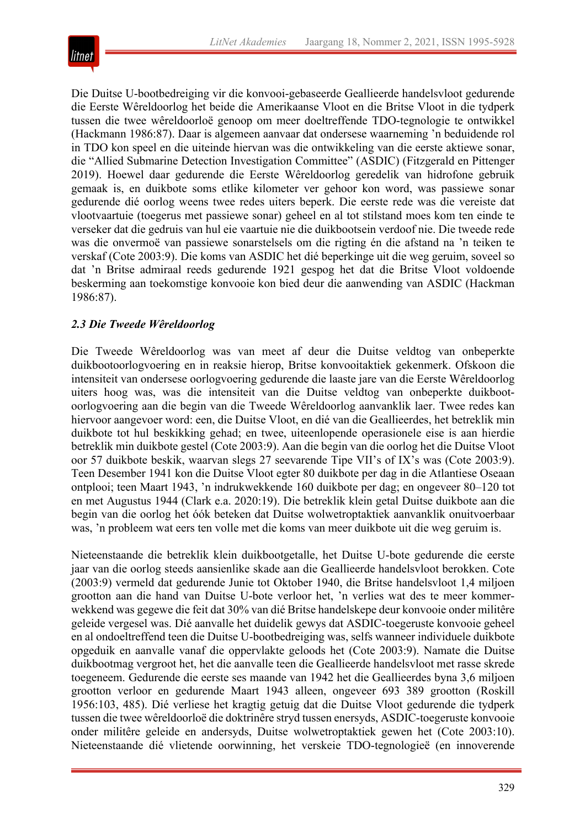

Die Duitse U-bootbedreiging vir die konvooi-gebaseerde Geallieerde handelsvloot gedurende die Eerste Wêreldoorlog het beide die Amerikaanse Vloot en die Britse Vloot in die tydperk tussen die twee wêreldoorloë genoop om meer doeltreffende TDO-tegnologie te ontwikkel (Hackmann 1986:87). Daar is algemeen aanvaar dat ondersese waarneming 'n beduidende rol in TDO kon speel en die uiteinde hiervan was die ontwikkeling van die eerste aktiewe sonar, die "Allied Submarine Detection Investigation Committee" (ASDIC) (Fitzgerald en Pittenger 2019). Hoewel daar gedurende die Eerste Wêreldoorlog geredelik van hidrofone gebruik gemaak is, en duikbote soms etlike kilometer ver gehoor kon word, was passiewe sonar gedurende dié oorlog weens twee redes uiters beperk. Die eerste rede was die vereiste dat vlootvaartuie (toegerus met passiewe sonar) geheel en al tot stilstand moes kom ten einde te verseker dat die gedruis van hul eie vaartuie nie die duikbootsein verdoof nie. Die tweede rede was die onvermoë van passiewe sonarstelsels om die rigting én die afstand na 'n teiken te verskaf (Cote 2003:9). Die koms van ASDIC het dié beperkinge uit die weg geruim, soveel so dat 'n Britse admiraal reeds gedurende 1921 gespog het dat die Britse Vloot voldoende beskerming aan toekomstige konvooie kon bied deur die aanwending van ASDIC (Hackman 1986:87).

## *2.3 Die Tweede Wêreldoorlog*

Die Tweede Wêreldoorlog was van meet af deur die Duitse veldtog van onbeperkte duikbootoorlogvoering en in reaksie hierop, Britse konvooitaktiek gekenmerk. Ofskoon die intensiteit van ondersese oorlogvoering gedurende die laaste jare van die Eerste Wêreldoorlog uiters hoog was, was die intensiteit van die Duitse veldtog van onbeperkte duikbootoorlogvoering aan die begin van die Tweede Wêreldoorlog aanvanklik laer. Twee redes kan hiervoor aangevoer word: een, die Duitse Vloot, en dié van die Geallieerdes, het betreklik min duikbote tot hul beskikking gehad; en twee, uiteenlopende operasionele eise is aan hierdie betreklik min duikbote gestel (Cote 2003:9). Aan die begin van die oorlog het die Duitse Vloot oor 57 duikbote beskik, waarvan slegs 27 seevarende Tipe VII's of IX's was (Cote 2003:9). Teen Desember 1941 kon die Duitse Vloot egter 80 duikbote per dag in die Atlantiese Oseaan ontplooi; teen Maart 1943, 'n indrukwekkende 160 duikbote per dag; en ongeveer 80–120 tot en met Augustus 1944 (Clark e.a. 2020:19). Die betreklik klein getal Duitse duikbote aan die begin van die oorlog het óók beteken dat Duitse wolwetroptaktiek aanvanklik onuitvoerbaar was, 'n probleem wat eers ten volle met die koms van meer duikbote uit die weg geruim is.

Nieteenstaande die betreklik klein duikbootgetalle, het Duitse U-bote gedurende die eerste jaar van die oorlog steeds aansienlike skade aan die Geallieerde handelsvloot berokken. Cote (2003:9) vermeld dat gedurende Junie tot Oktober 1940, die Britse handelsvloot 1,4 miljoen grootton aan die hand van Duitse U-bote verloor het, 'n verlies wat des te meer kommerwekkend was gegewe die feit dat 30% van dié Britse handelskepe deur konvooie onder militêre geleide vergesel was. Dié aanvalle het duidelik gewys dat ASDIC-toegeruste konvooie geheel en al ondoeltreffend teen die Duitse U-bootbedreiging was, selfs wanneer individuele duikbote opgeduik en aanvalle vanaf die oppervlakte geloods het (Cote 2003:9). Namate die Duitse duikbootmag vergroot het, het die aanvalle teen die Geallieerde handelsvloot met rasse skrede toegeneem. Gedurende die eerste ses maande van 1942 het die Geallieerdes byna 3,6 miljoen grootton verloor en gedurende Maart 1943 alleen, ongeveer 693 389 grootton (Roskill 1956:103, 485). Dié verliese het kragtig getuig dat die Duitse Vloot gedurende die tydperk tussen die twee wêreldoorloë die doktrinêre stryd tussen enersyds, ASDIC-toegeruste konvooie onder militêre geleide en andersyds, Duitse wolwetroptaktiek gewen het (Cote 2003:10). Nieteenstaande dié vlietende oorwinning, het verskeie TDO-tegnologieë (en innoverende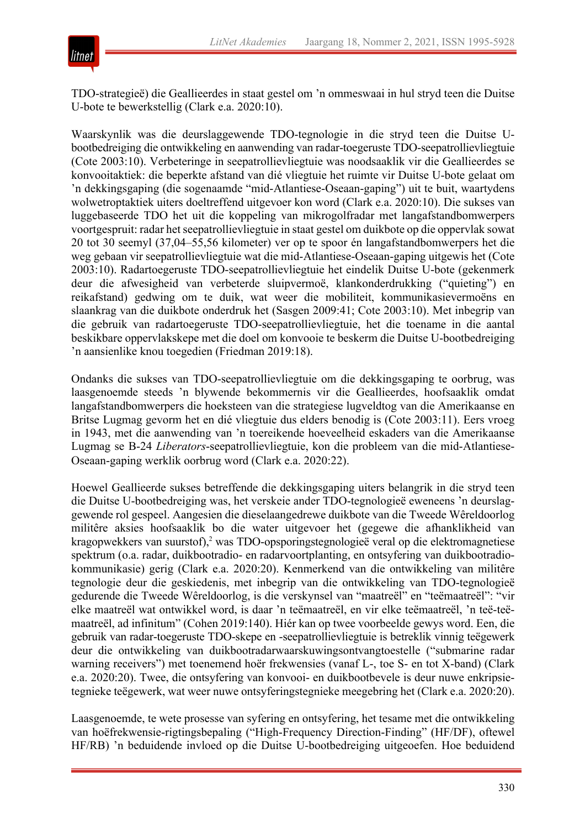

TDO-strategieë) die Geallieerdes in staat gestel om 'n ommeswaai in hul stryd teen die Duitse U-bote te bewerkstellig (Clark e.a. 2020:10).

Waarskynlik was die deurslaggewende TDO-tegnologie in die stryd teen die Duitse Ubootbedreiging die ontwikkeling en aanwending van radar-toegeruste TDO-seepatrollievliegtuie (Cote 2003:10). Verbeteringe in seepatrollievliegtuie was noodsaaklik vir die Geallieerdes se konvooitaktiek: die beperkte afstand van dié vliegtuie het ruimte vir Duitse U-bote gelaat om 'n dekkingsgaping (die sogenaamde "mid-Atlantiese-Oseaan-gaping") uit te buit, waartydens wolwetroptaktiek uiters doeltreffend uitgevoer kon word (Clark e.a. 2020:10). Die sukses van luggebaseerde TDO het uit die koppeling van mikrogolfradar met langafstandbomwerpers voortgespruit: radar het seepatrollievliegtuie in staat gestel om duikbote op die oppervlak sowat 20 tot 30 seemyl (37,04–55,56 kilometer) ver op te spoor én langafstandbomwerpers het die weg gebaan vir seepatrollievliegtuie wat die mid-Atlantiese-Oseaan-gaping uitgewis het (Cote 2003:10). Radartoegeruste TDO-seepatrollievliegtuie het eindelik Duitse U-bote (gekenmerk deur die afwesigheid van verbeterde sluipvermoë, klankonderdrukking ("quieting") en reikafstand) gedwing om te duik, wat weer die mobiliteit, kommunikasievermoëns en slaankrag van die duikbote onderdruk het (Sasgen 2009:41; Cote 2003:10). Met inbegrip van die gebruik van radartoegeruste TDO-seepatrollievliegtuie, het die toename in die aantal beskikbare oppervlakskepe met die doel om konvooie te beskerm die Duitse U-bootbedreiging 'n aansienlike knou toegedien (Friedman 2019:18).

Ondanks die sukses van TDO-seepatrollievliegtuie om die dekkingsgaping te oorbrug, was laasgenoemde steeds 'n blywende bekommernis vir die Geallieerdes, hoofsaaklik omdat langafstandbomwerpers die hoeksteen van die strategiese lugveldtog van die Amerikaanse en Britse Lugmag gevorm het en dié vliegtuie dus elders benodig is (Cote 2003:11). Eers vroeg in 1943, met die aanwending van 'n toereikende hoeveelheid eskaders van die Amerikaanse Lugmag se B-24 *Liberators*-seepatrollievliegtuie, kon die probleem van die mid-Atlantiese-Oseaan-gaping werklik oorbrug word (Clark e.a. 2020:22).

Hoewel Geallieerde sukses betreffende die dekkingsgaping uiters belangrik in die stryd teen die Duitse U-bootbedreiging was, het verskeie ander TDO-tegnologieë eweneens 'n deurslaggewende rol gespeel. Aangesien die dieselaangedrewe duikbote van die Tweede Wêreldoorlog militêre aksies hoofsaaklik bo die water uitgevoer het (gegewe die afhanklikheid van kragopwekkers van suurstof),<sup>2</sup> was TDO-opsporingstegnologieë veral op die elektromagnetiese spektrum (o.a. radar, duikbootradio- en radarvoortplanting, en ontsyfering van duikbootradiokommunikasie) gerig (Clark e.a. 2020:20). Kenmerkend van die ontwikkeling van militêre tegnologie deur die geskiedenis, met inbegrip van die ontwikkeling van TDO-tegnologieë gedurende die Tweede Wêreldoorlog, is die verskynsel van "maatreël" en "teëmaatreël": "vir elke maatreël wat ontwikkel word, is daar 'n teëmaatreël, en vir elke teëmaatreël, 'n teë-teëmaatreël, ad infinitum" (Cohen 2019:140). Hiér kan op twee voorbeelde gewys word. Een, die gebruik van radar-toegeruste TDO-skepe en -seepatrollievliegtuie is betreklik vinnig teëgewerk deur die ontwikkeling van duikbootradarwaarskuwingsontvangtoestelle ("submarine radar warning receivers") met toenemend hoër frekwensies (vanaf L-, toe S- en tot X-band) (Clark e.a. 2020:20). Twee, die ontsyfering van konvooi- en duikbootbevele is deur nuwe enkripsietegnieke teëgewerk, wat weer nuwe ontsyferingstegnieke meegebring het (Clark e.a. 2020:20).

Laasgenoemde, te wete prosesse van syfering en ontsyfering, het tesame met die ontwikkeling van hoëfrekwensie-rigtingsbepaling ("High-Frequency Direction-Finding" (HF/DF), oftewel HF/RB) 'n beduidende invloed op die Duitse U-bootbedreiging uitgeoefen. Hoe beduidend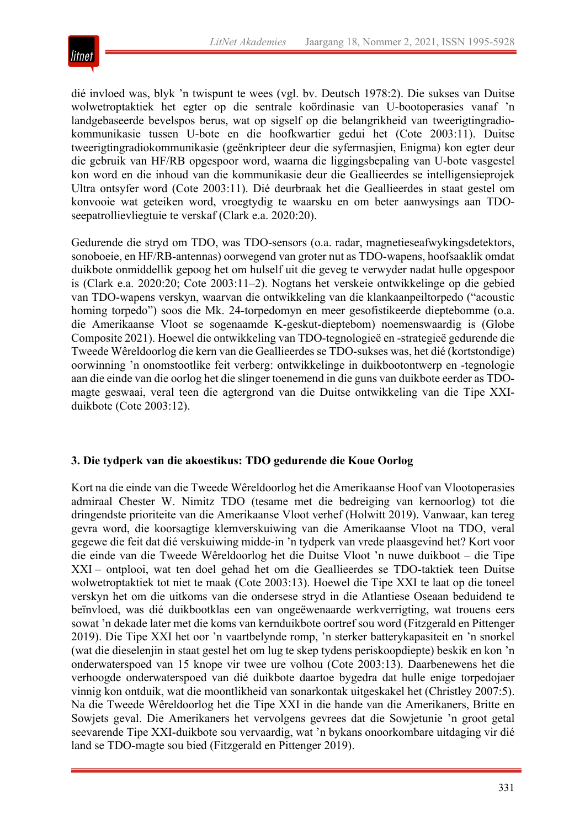

dié invloed was, blyk 'n twispunt te wees (vgl. bv. Deutsch 1978:2). Die sukses van Duitse wolwetroptaktiek het egter op die sentrale koördinasie van U-bootoperasies vanaf 'n landgebaseerde bevelspos berus, wat op sigself op die belangrikheid van tweerigtingradiokommunikasie tussen U-bote en die hoofkwartier gedui het (Cote 2003:11). Duitse tweerigtingradiokommunikasie (geënkripteer deur die syfermasjien, Enigma) kon egter deur die gebruik van HF/RB opgespoor word, waarna die liggingsbepaling van U-bote vasgestel kon word en die inhoud van die kommunikasie deur die Geallieerdes se intelligensieprojek Ultra ontsyfer word (Cote 2003:11). Dié deurbraak het die Geallieerdes in staat gestel om konvooie wat geteiken word, vroegtydig te waarsku en om beter aanwysings aan TDOseepatrollievliegtuie te verskaf (Clark e.a. 2020:20).

Gedurende die stryd om TDO, was TDO-sensors (o.a. radar, magnetieseafwykingsdetektors, sonoboeie, en HF/RB-antennas) oorwegend van groter nut as TDO-wapens, hoofsaaklik omdat duikbote onmiddellik gepoog het om hulself uit die geveg te verwyder nadat hulle opgespoor is (Clark e.a. 2020:20; Cote 2003:11–2). Nogtans het verskeie ontwikkelinge op die gebied van TDO-wapens verskyn, waarvan die ontwikkeling van die klankaanpeiltorpedo ("acoustic homing torpedo") soos die Mk. 24-torpedomyn en meer gesofistikeerde dieptebomme (o.a. die Amerikaanse Vloot se sogenaamde K-geskut-dieptebom) noemenswaardig is (Globe Composite 2021). Hoewel die ontwikkeling van TDO-tegnologieë en -strategieë gedurende die Tweede Wêreldoorlog die kern van die Geallieerdes se TDO-sukses was, het dié (kortstondige) oorwinning 'n onomstootlike feit verberg: ontwikkelinge in duikbootontwerp en -tegnologie aan die einde van die oorlog het die slinger toenemend in die guns van duikbote eerder as TDOmagte geswaai, veral teen die agtergrond van die Duitse ontwikkeling van die Tipe XXIduikbote (Cote 2003:12).

## **3. Die tydperk van die akoestikus: TDO gedurende die Koue Oorlog**

Kort na die einde van die Tweede Wêreldoorlog het die Amerikaanse Hoof van Vlootoperasies admiraal Chester W. Nimitz TDO (tesame met die bedreiging van kernoorlog) tot die dringendste prioriteite van die Amerikaanse Vloot verhef (Holwitt 2019). Vanwaar, kan tereg gevra word, die koorsagtige klemverskuiwing van die Amerikaanse Vloot na TDO, veral gegewe die feit dat dié verskuiwing midde-in 'n tydperk van vrede plaasgevind het? Kort voor die einde van die Tweede Wêreldoorlog het die Duitse Vloot 'n nuwe duikboot – die Tipe XXI – ontplooi, wat ten doel gehad het om die Geallieerdes se TDO-taktiek teen Duitse wolwetroptaktiek tot niet te maak (Cote 2003:13). Hoewel die Tipe XXI te laat op die toneel verskyn het om die uitkoms van die ondersese stryd in die Atlantiese Oseaan beduidend te beïnvloed, was dié duikbootklas een van ongeëwenaarde werkverrigting, wat trouens eers sowat 'n dekade later met die koms van kernduikbote oortref sou word (Fitzgerald en Pittenger 2019). Die Tipe XXI het oor 'n vaartbelynde romp, 'n sterker batterykapasiteit en 'n snorkel (wat die dieselenjin in staat gestel het om lug te skep tydens periskoopdiepte) beskik en kon 'n onderwaterspoed van 15 knope vir twee ure volhou (Cote 2003:13). Daarbenewens het die verhoogde onderwaterspoed van dié duikbote daartoe bygedra dat hulle enige torpedojaer vinnig kon ontduik, wat die moontlikheid van sonarkontak uitgeskakel het (Christley 2007:5). Na die Tweede Wêreldoorlog het die Tipe XXI in die hande van die Amerikaners, Britte en Sowjets geval. Die Amerikaners het vervolgens gevrees dat die Sowjetunie 'n groot getal seevarende Tipe XXI-duikbote sou vervaardig, wat 'n bykans onoorkombare uitdaging vir dié land se TDO-magte sou bied (Fitzgerald en Pittenger 2019).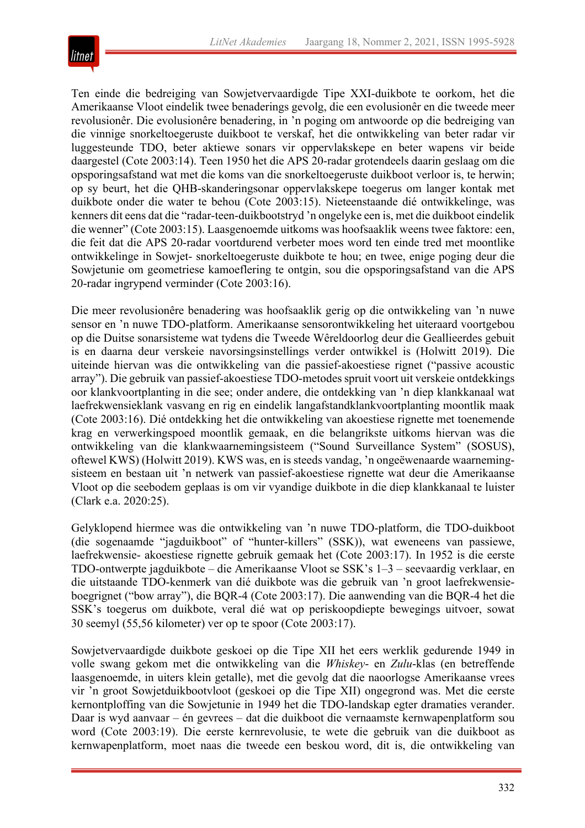

Ten einde die bedreiging van Sowjetvervaardigde Tipe XXI-duikbote te oorkom, het die Amerikaanse Vloot eindelik twee benaderings gevolg, die een evolusionêr en die tweede meer revolusionêr. Die evolusionêre benadering, in 'n poging om antwoorde op die bedreiging van die vinnige snorkeltoegeruste duikboot te verskaf, het die ontwikkeling van beter radar vir luggesteunde TDO, beter aktiewe sonars vir oppervlakskepe en beter wapens vir beide daargestel (Cote 2003:14). Teen 1950 het die APS 20-radar grotendeels daarin geslaag om die opsporingsafstand wat met die koms van die snorkeltoegeruste duikboot verloor is, te herwin; op sy beurt, het die QHB-skanderingsonar oppervlakskepe toegerus om langer kontak met duikbote onder die water te behou (Cote 2003:15). Nieteenstaande dié ontwikkelinge, was kenners dit eens dat die "radar-teen-duikbootstryd 'n ongelyke een is, met die duikboot eindelik die wenner" (Cote 2003:15). Laasgenoemde uitkoms was hoofsaaklik weens twee faktore: een, die feit dat die APS 20-radar voortdurend verbeter moes word ten einde tred met moontlike ontwikkelinge in Sowjet- snorkeltoegeruste duikbote te hou; en twee, enige poging deur die Sowjetunie om geometriese kamoeflering te ontgin, sou die opsporingsafstand van die APS 20-radar ingrypend verminder (Cote 2003:16).

Die meer revolusionêre benadering was hoofsaaklik gerig op die ontwikkeling van 'n nuwe sensor en 'n nuwe TDO-platform. Amerikaanse sensorontwikkeling het uiteraard voortgebou op die Duitse sonarsisteme wat tydens die Tweede Wêreldoorlog deur die Geallieerdes gebuit is en daarna deur verskeie navorsingsinstellings verder ontwikkel is (Holwitt 2019). Die uiteinde hiervan was die ontwikkeling van die passief-akoestiese rignet ("passive acoustic array"). Die gebruik van passief-akoestiese TDO-metodes spruit voort uit verskeie ontdekkings oor klankvoortplanting in die see; onder andere, die ontdekking van 'n diep klankkanaal wat laefrekwensieklank vasvang en rig en eindelik langafstandklankvoortplanting moontlik maak (Cote 2003:16). Dié ontdekking het die ontwikkeling van akoestiese rignette met toenemende krag en verwerkingspoed moontlik gemaak, en die belangrikste uitkoms hiervan was die ontwikkeling van die klankwaarnemingsisteem ("Sound Surveillance System" (SOSUS), oftewel KWS) (Holwitt 2019). KWS was, en is steeds vandag, 'n ongeëwenaarde waarnemingsisteem en bestaan uit 'n netwerk van passief-akoestiese rignette wat deur die Amerikaanse Vloot op die seebodem geplaas is om vir vyandige duikbote in die diep klankkanaal te luister (Clark e.a. 2020:25).

Gelyklopend hiermee was die ontwikkeling van 'n nuwe TDO-platform, die TDO-duikboot (die sogenaamde "jagduikboot" of "hunter-killers" (SSK)), wat eweneens van passiewe, laefrekwensie- akoestiese rignette gebruik gemaak het (Cote 2003:17). In 1952 is die eerste TDO-ontwerpte jagduikbote – die Amerikaanse Vloot se SSK's 1–3 – seevaardig verklaar, en die uitstaande TDO-kenmerk van dié duikbote was die gebruik van 'n groot laefrekwensieboegrignet ("bow array"), die BQR-4 (Cote 2003:17). Die aanwending van die BQR-4 het die SSK's toegerus om duikbote, veral dié wat op periskoopdiepte bewegings uitvoer, sowat 30 seemyl (55,56 kilometer) ver op te spoor (Cote 2003:17).

Sowjetvervaardigde duikbote geskoei op die Tipe XII het eers werklik gedurende 1949 in volle swang gekom met die ontwikkeling van die *Whiskey*- en *Zulu*-klas (en betreffende laasgenoemde, in uiters klein getalle), met die gevolg dat die naoorlogse Amerikaanse vrees vir 'n groot Sowjetduikbootvloot (geskoei op die Tipe XII) ongegrond was. Met die eerste kernontploffing van die Sowjetunie in 1949 het die TDO-landskap egter dramaties verander. Daar is wyd aanvaar – én gevrees – dat die duikboot die vernaamste kernwapenplatform sou word (Cote 2003:19). Die eerste kernrevolusie, te wete die gebruik van die duikboot as kernwapenplatform, moet naas die tweede een beskou word, dit is, die ontwikkeling van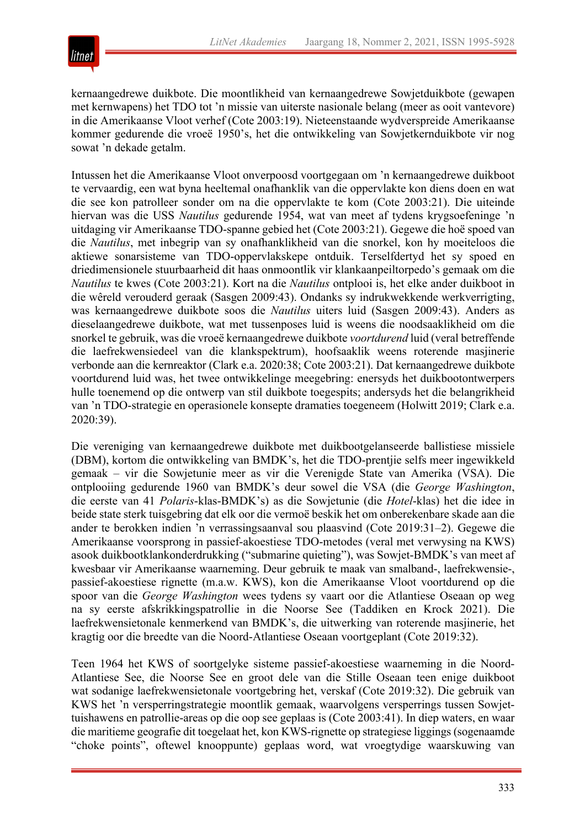

kernaangedrewe duikbote. Die moontlikheid van kernaangedrewe Sowjetduikbote (gewapen met kernwapens) het TDO tot 'n missie van uiterste nasionale belang (meer as ooit vantevore) in die Amerikaanse Vloot verhef (Cote 2003:19). Nieteenstaande wydverspreide Amerikaanse kommer gedurende die vroeë 1950's, het die ontwikkeling van Sowjetkernduikbote vir nog sowat 'n dekade getalm.

Intussen het die Amerikaanse Vloot onverpoosd voortgegaan om 'n kernaangedrewe duikboot te vervaardig, een wat byna heeltemal onafhanklik van die oppervlakte kon diens doen en wat die see kon patrolleer sonder om na die oppervlakte te kom (Cote 2003:21). Die uiteinde hiervan was die USS *Nautilus* gedurende 1954, wat van meet af tydens krygsoefeninge 'n uitdaging vir Amerikaanse TDO-spanne gebied het (Cote 2003:21). Gegewe die hoë spoed van die *Nautilus*, met inbegrip van sy onafhanklikheid van die snorkel, kon hy moeiteloos die aktiewe sonarsisteme van TDO-oppervlakskepe ontduik. Terselfdertyd het sy spoed en driedimensionele stuurbaarheid dit haas onmoontlik vir klankaanpeiltorpedo's gemaak om die *Nautilus* te kwes (Cote 2003:21). Kort na die *Nautilus* ontplooi is, het elke ander duikboot in die wêreld verouderd geraak (Sasgen 2009:43). Ondanks sy indrukwekkende werkverrigting, was kernaangedrewe duikbote soos die *Nautilus* uiters luid (Sasgen 2009:43). Anders as dieselaangedrewe duikbote, wat met tussenposes luid is weens die noodsaaklikheid om die snorkel te gebruik, was die vroeë kernaangedrewe duikbote *voortdurend* luid (veral betreffende die laefrekwensiedeel van die klankspektrum), hoofsaaklik weens roterende masjinerie verbonde aan die kernreaktor (Clark e.a. 2020:38; Cote 2003:21). Dat kernaangedrewe duikbote voortdurend luid was, het twee ontwikkelinge meegebring: enersyds het duikbootontwerpers hulle toenemend op die ontwerp van stil duikbote toegespits; andersyds het die belangrikheid van 'n TDO-strategie en operasionele konsepte dramaties toegeneem (Holwitt 2019; Clark e.a. 2020:39).

Die vereniging van kernaangedrewe duikbote met duikbootgelanseerde ballistiese missiele (DBM), kortom die ontwikkeling van BMDK's, het die TDO-prentjie selfs meer ingewikkeld gemaak – vir die Sowjetunie meer as vir die Verenigde State van Amerika (VSA). Die ontplooiing gedurende 1960 van BMDK's deur sowel die VSA (die *George Washington*, die eerste van 41 *Polaris*-klas-BMDK's) as die Sowjetunie (die *Hotel*-klas) het die idee in beide state sterk tuisgebring dat elk oor die vermoë beskik het om onberekenbare skade aan die ander te berokken indien 'n verrassingsaanval sou plaasvind (Cote 2019:31–2). Gegewe die Amerikaanse voorsprong in passief-akoestiese TDO-metodes (veral met verwysing na KWS) asook duikbootklankonderdrukking ("submarine quieting"), was Sowjet-BMDK's van meet af kwesbaar vir Amerikaanse waarneming. Deur gebruik te maak van smalband-, laefrekwensie-, passief-akoestiese rignette (m.a.w. KWS), kon die Amerikaanse Vloot voortdurend op die spoor van die *George Washington* wees tydens sy vaart oor die Atlantiese Oseaan op weg na sy eerste afskrikkingspatrollie in die Noorse See (Taddiken en Krock 2021). Die laefrekwensietonale kenmerkend van BMDK's, die uitwerking van roterende masjinerie, het kragtig oor die breedte van die Noord-Atlantiese Oseaan voortgeplant (Cote 2019:32).

Teen 1964 het KWS of soortgelyke sisteme passief-akoestiese waarneming in die Noord-Atlantiese See, die Noorse See en groot dele van die Stille Oseaan teen enige duikboot wat sodanige laefrekwensietonale voortgebring het, verskaf (Cote 2019:32). Die gebruik van KWS het 'n versperringstrategie moontlik gemaak, waarvolgens versperrings tussen Sowjettuishawens en patrollie-areas op die oop see geplaas is (Cote 2003:41). In diep waters, en waar die maritieme geografie dit toegelaat het, kon KWS-rignette op strategiese liggings (sogenaamde "choke points", oftewel knooppunte) geplaas word, wat vroegtydige waarskuwing van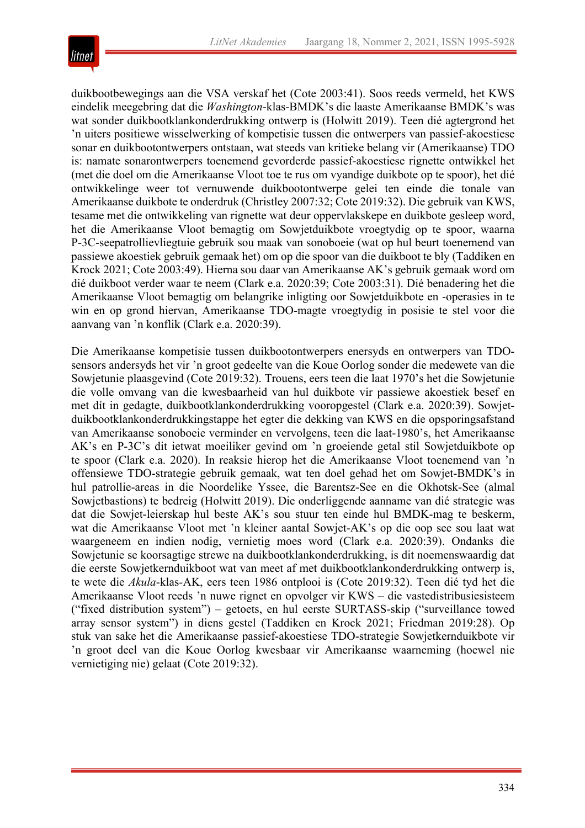

duikbootbewegings aan die VSA verskaf het (Cote 2003:41). Soos reeds vermeld, het KWS eindelik meegebring dat die *Washington*-klas-BMDK's die laaste Amerikaanse BMDK's was wat sonder duikbootklankonderdrukking ontwerp is (Holwitt 2019). Teen dié agtergrond het 'n uiters positiewe wisselwerking of kompetisie tussen die ontwerpers van passief-akoestiese sonar en duikbootontwerpers ontstaan, wat steeds van kritieke belang vir (Amerikaanse) TDO is: namate sonarontwerpers toenemend gevorderde passief-akoestiese rignette ontwikkel het (met die doel om die Amerikaanse Vloot toe te rus om vyandige duikbote op te spoor), het dié ontwikkelinge weer tot vernuwende duikbootontwerpe gelei ten einde die tonale van Amerikaanse duikbote te onderdruk (Christley 2007:32; Cote 2019:32). Die gebruik van KWS, tesame met die ontwikkeling van rignette wat deur oppervlakskepe en duikbote gesleep word, het die Amerikaanse Vloot bemagtig om Sowjetduikbote vroegtydig op te spoor, waarna P-3C-seepatrollievliegtuie gebruik sou maak van sonoboeie (wat op hul beurt toenemend van passiewe akoestiek gebruik gemaak het) om op die spoor van die duikboot te bly (Taddiken en Krock 2021; Cote 2003:49). Hierna sou daar van Amerikaanse AK's gebruik gemaak word om dié duikboot verder waar te neem (Clark e.a. 2020:39; Cote 2003:31). Dié benadering het die Amerikaanse Vloot bemagtig om belangrike inligting oor Sowjetduikbote en -operasies in te win en op grond hiervan, Amerikaanse TDO-magte vroegtydig in posisie te stel voor die aanvang van 'n konflik (Clark e.a. 2020:39).

Die Amerikaanse kompetisie tussen duikbootontwerpers enersyds en ontwerpers van TDOsensors andersyds het vir 'n groot gedeelte van die Koue Oorlog sonder die medewete van die Sowjetunie plaasgevind (Cote 2019:32). Trouens, eers teen die laat 1970's het die Sowjetunie die volle omvang van die kwesbaarheid van hul duikbote vir passiewe akoestiek besef en met dít in gedagte, duikbootklankonderdrukking vooropgestel (Clark e.a. 2020:39). Sowjetduikbootklankonderdrukkingstappe het egter die dekking van KWS en die opsporingsafstand van Amerikaanse sonoboeie verminder en vervolgens, teen die laat-1980's, het Amerikaanse AK's en P-3C's dit ietwat moeiliker gevind om 'n groeiende getal stil Sowjetduikbote op te spoor (Clark e.a. 2020). In reaksie hierop het die Amerikaanse Vloot toenemend van 'n offensiewe TDO-strategie gebruik gemaak, wat ten doel gehad het om Sowjet-BMDK's in hul patrollie-areas in die Noordelike Yssee, die Barentsz-See en die Okhotsk-See (almal Sowjetbastions) te bedreig (Holwitt 2019). Die onderliggende aanname van dié strategie was dat die Sowjet-leierskap hul beste AK's sou stuur ten einde hul BMDK-mag te beskerm, wat die Amerikaanse Vloot met 'n kleiner aantal Sowjet-AK's op die oop see sou laat wat waargeneem en indien nodig, vernietig moes word (Clark e.a. 2020:39). Ondanks die Sowjetunie se koorsagtige strewe na duikbootklankonderdrukking, is dit noemenswaardig dat die eerste Sowjetkernduikboot wat van meet af met duikbootklankonderdrukking ontwerp is, te wete die *Akula*-klas*-*AK, eers teen 1986 ontplooi is (Cote 2019:32). Teen dié tyd het die Amerikaanse Vloot reeds 'n nuwe rignet en opvolger vir KWS – die vastedistribusiesisteem ("fixed distribution system") – getoets, en hul eerste SURTASS-skip ("surveillance towed array sensor system") in diens gestel (Taddiken en Krock 2021; Friedman 2019:28). Op stuk van sake het die Amerikaanse passief-akoestiese TDO-strategie Sowjetkernduikbote vir 'n groot deel van die Koue Oorlog kwesbaar vir Amerikaanse waarneming (hoewel nie vernietiging nie) gelaat (Cote 2019:32).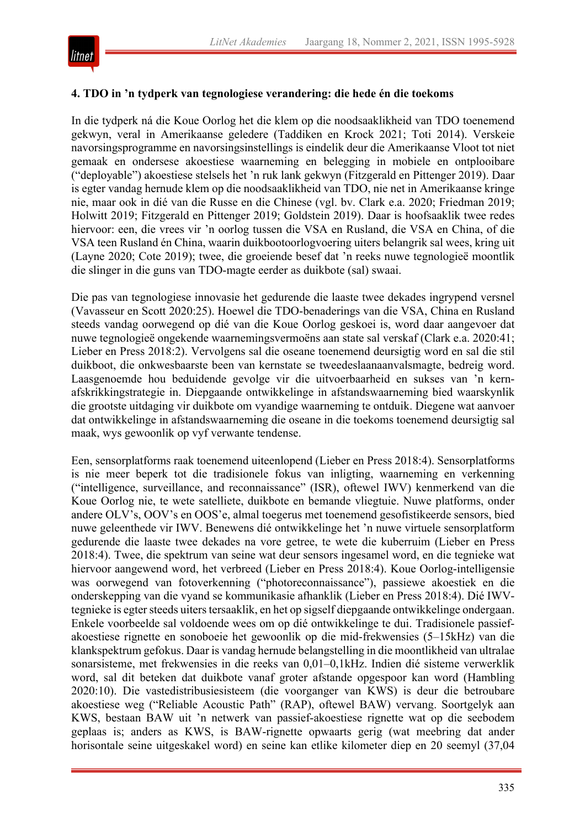

#### **4. TDO in 'n tydperk van tegnologiese verandering: die hede én die toekoms**

In die tydperk ná die Koue Oorlog het die klem op die noodsaaklikheid van TDO toenemend gekwyn, veral in Amerikaanse geledere (Taddiken en Krock 2021; Toti 2014). Verskeie navorsingsprogramme en navorsingsinstellings is eindelik deur die Amerikaanse Vloot tot niet gemaak en ondersese akoestiese waarneming en belegging in mobiele en ontplooibare ("deployable") akoestiese stelsels het 'n ruk lank gekwyn (Fitzgerald en Pittenger 2019). Daar is egter vandag hernude klem op die noodsaaklikheid van TDO, nie net in Amerikaanse kringe nie, maar ook in dié van die Russe en die Chinese (vgl. bv. Clark e.a. 2020; Friedman 2019; Holwitt 2019; Fitzgerald en Pittenger 2019; Goldstein 2019). Daar is hoofsaaklik twee redes hiervoor: een, die vrees vir 'n oorlog tussen die VSA en Rusland, die VSA en China, of die VSA teen Rusland én China, waarin duikbootoorlogvoering uiters belangrik sal wees, kring uit (Layne 2020; Cote 2019); twee, die groeiende besef dat 'n reeks nuwe tegnologieë moontlik die slinger in die guns van TDO-magte eerder as duikbote (sal) swaai.

Die pas van tegnologiese innovasie het gedurende die laaste twee dekades ingrypend versnel (Vavasseur en Scott 2020:25). Hoewel die TDO-benaderings van die VSA, China en Rusland steeds vandag oorwegend op dié van die Koue Oorlog geskoei is, word daar aangevoer dat nuwe tegnologieë ongekende waarnemingsvermoëns aan state sal verskaf (Clark e.a. 2020:41; Lieber en Press 2018:2). Vervolgens sal die oseane toenemend deursigtig word en sal die stil duikboot, die onkwesbaarste been van kernstate se tweedeslaanaanvalsmagte, bedreig word. Laasgenoemde hou beduidende gevolge vir die uitvoerbaarheid en sukses van 'n kernafskrikkingstrategie in. Diepgaande ontwikkelinge in afstandswaarneming bied waarskynlik die grootste uitdaging vir duikbote om vyandige waarneming te ontduik. Diegene wat aanvoer dat ontwikkelinge in afstandswaarneming die oseane in die toekoms toenemend deursigtig sal maak, wys gewoonlik op vyf verwante tendense.

Een, sensorplatforms raak toenemend uiteenlopend (Lieber en Press 2018:4). Sensorplatforms is nie meer beperk tot die tradisionele fokus van inligting, waarneming en verkenning ("intelligence, surveillance, and reconnaissance" (ISR), oftewel IWV) kenmerkend van die Koue Oorlog nie, te wete satelliete, duikbote en bemande vliegtuie. Nuwe platforms, onder andere OLV's, OOV's en OOS'e, almal toegerus met toenemend gesofistikeerde sensors, bied nuwe geleenthede vir IWV. Benewens dié ontwikkelinge het 'n nuwe virtuele sensorplatform gedurende die laaste twee dekades na vore getree, te wete die kuberruim (Lieber en Press 2018:4). Twee, die spektrum van seine wat deur sensors ingesamel word, en die tegnieke wat hiervoor aangewend word, het verbreed (Lieber en Press 2018:4). Koue Oorlog-intelligensie was oorwegend van fotoverkenning ("photoreconnaissance"), passiewe akoestiek en die onderskepping van die vyand se kommunikasie afhanklik (Lieber en Press 2018:4). Dié IWVtegnieke is egter steeds uiters tersaaklik, en het op sigself diepgaande ontwikkelinge ondergaan. Enkele voorbeelde sal voldoende wees om op dié ontwikkelinge te dui. Tradisionele passiefakoestiese rignette en sonoboeie het gewoonlik op die mid-frekwensies (5–15kHz) van die klankspektrum gefokus. Daar is vandag hernude belangstelling in die moontlikheid van ultralae sonarsisteme, met frekwensies in die reeks van 0,01–0,1kHz. Indien dié sisteme verwerklik word, sal dit beteken dat duikbote vanaf groter afstande opgespoor kan word (Hambling 2020:10). Die vastedistribusiesisteem (die voorganger van KWS) is deur die betroubare akoestiese weg ("Reliable Acoustic Path" (RAP), oftewel BAW) vervang. Soortgelyk aan KWS, bestaan BAW uit 'n netwerk van passief-akoestiese rignette wat op die seebodem geplaas is; anders as KWS, is BAW-rignette opwaarts gerig (wat meebring dat ander horisontale seine uitgeskakel word) en seine kan etlike kilometer diep en 20 seemyl (37,04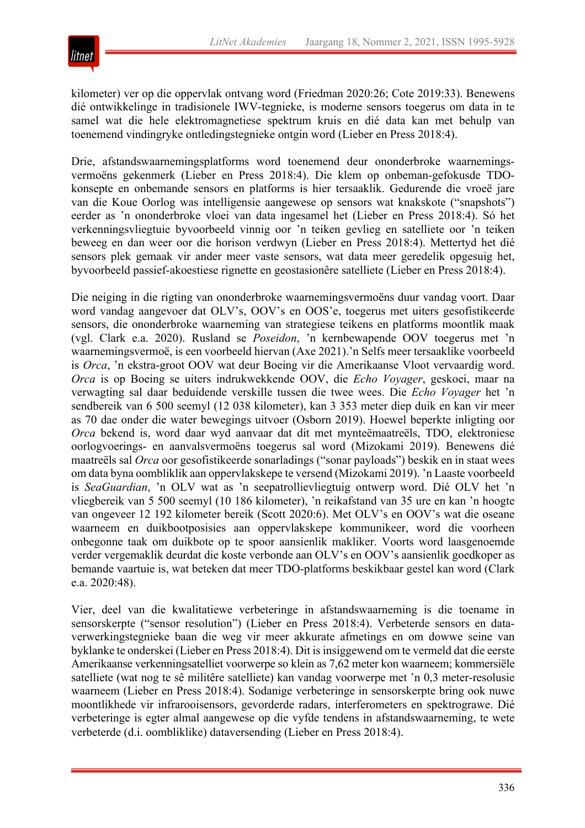

kilometer) ver op die oppervlak ontvang word (Friedman 2020:26; Cote 2019:33). Benewens dié ontwikkelinge in tradisionele IWV-tegnieke, is moderne sensors toegerus om data in te samel wat die hele elektromagnetiese spektrum kruis en dié data kan met behulp van toenemend vindingryke ontledingstegnieke ontgin word (Lieber en Press 2018:4).

Drie, afstandswaarnemingsplatforms word toenemend deur ononderbroke waarnemingsvermoëns gekenmerk (Lieber en Press 2018:4). Die klem op onbeman-gefokusde TDOkonsepte en onbemande sensors en platforms is hier tersaaklik. Gedurende die vroeë jare van die Koue Oorlog was intelligensie aangewese op sensors wat knakskote ("snapshots") eerder as 'n ononderbroke vloei van data ingesamel het (Lieber en Press 2018:4). Só het verkenningsvliegtuie byvoorbeeld vinnig oor 'n teiken gevlieg en satelliete oor 'n teiken beweeg en dan weer oor die horison verdwyn (Lieber en Press 2018:4). Mettertyd het dié sensors plek gemaak vir ander meer vaste sensors, wat data meer geredelik opgesuig het, byvoorbeeld passief-akoestiese rignette en geostasionêre satelliete (Lieber en Press 2018:4).

Die neiging in die rigting van ononderbroke waarnemingsvermoëns duur vandag voort. Daar word vandag aangevoer dat OLV's, OOV's en OOS'e, toegerus met uiters gesofistikeerde sensors, die ononderbroke waarneming van strategiese teikens en platforms moontlik maak (vgl. Clark e.a. 2020). Rusland se *Poseidon*, 'n kernbewapende OOV toegerus met 'n waarnemingsvermoë, is een voorbeeld hiervan (Axe 2021).'n Selfs meer tersaaklike voorbeeld is *Orca*, 'n ekstra-groot OOV wat deur Boeing vir die Amerikaanse Vloot vervaardig word. *Orca* is op Boeing se uiters indrukwekkende OOV, die *Echo Voyager*, geskoei, maar na verwagting sal daar beduidende verskille tussen die twee wees. Die *Echo Voyager* het 'n sendbereik van 6 500 seemyl (12 038 kilometer), kan 3 353 meter diep duik en kan vir meer as 70 dae onder die water bewegings uitvoer (Osborn 2019). Hoewel beperkte inligting oor *Orca* bekend is, word daar wyd aanvaar dat dit met mynteëmaatreëls, TDO, elektroniese oorlogvoerings- en aanvalsvermoëns toegerus sal word (Mizokami 2019). Benewens dié maatreëls sal *Orca* oor gesofistikeerde sonarladings ("sonar payloads") beskik en in staat wees om data byna oombliklik aan oppervlakskepe te versend (Mizokami 2019). 'n Laaste voorbeeld is *SeaGuardian*, 'n OLV wat as 'n seepatrollievliegtuig ontwerp word. Dié OLV het 'n vliegbereik van 5 500 seemyl (10 186 kilometer), 'n reikafstand van 35 ure en kan 'n hoogte van ongeveer 12 192 kilometer bereik (Scott 2020:6). Met OLV's en OOV's wat die oseane waarneem en duikbootposisies aan oppervlakskepe kommunikeer, word die voorheen onbegonne taak om duikbote op te spoor aansienlik makliker. Voorts word laasgenoemde verder vergemaklik deurdat die koste verbonde aan OLV's en OOV's aansienlik goedkoper as bemande vaartuie is, wat beteken dat meer TDO-platforms beskikbaar gestel kan word (Clark e.a. 2020:48).

Vier, deel van die kwalitatiewe verbeteringe in afstandswaarneming is die toename in sensorskerpte ("sensor resolution") (Lieber en Press 2018:4). Verbeterde sensors en dataverwerkingstegnieke baan die weg vir meer akkurate afmetings en om dowwe seine van byklanke te onderskei (Lieber en Press 2018:4). Dit isinsiggewend om te vermeld dat die eerste Amerikaanse verkenningsatelliet voorwerpe so klein as 7,62 meter kon waarneem; kommersiële satelliete (wat nog te sê militêre satelliete) kan vandag voorwerpe met 'n 0,3 meter-resolusie waarneem (Lieber en Press 2018:4). Sodanige verbeteringe in sensorskerpte bring ook nuwe moontlikhede vir infrarooisensors, gevorderde radars, interferometers en spektrograwe. Dié verbeteringe is egter almal aangewese op die vyfde tendens in afstandswaarneming, te wete verbeterde (d.i. oombliklike) dataversending (Lieber en Press 2018:4).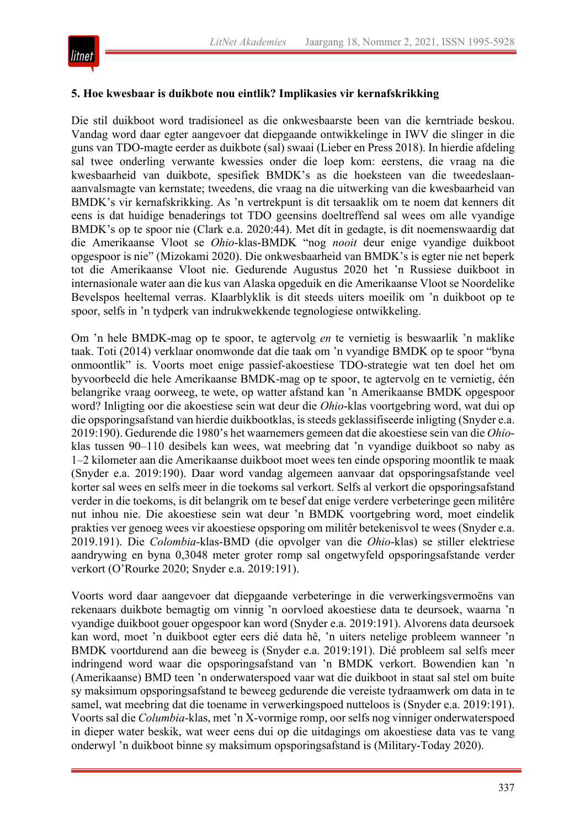#### **5. Hoe kwesbaar is duikbote nou eintlik? Implikasies vir kernafskrikking**

Die stil duikboot word tradisioneel as die onkwesbaarste been van die kerntriade beskou. Vandag word daar egter aangevoer dat diepgaande ontwikkelinge in IWV die slinger in die guns van TDO-magte eerder as duikbote (sal) swaai (Lieber en Press 2018). In hierdie afdeling sal twee onderling verwante kwessies onder die loep kom: eerstens, die vraag na die kwesbaarheid van duikbote, spesifiek BMDK's as die hoeksteen van die tweedeslaanaanvalsmagte van kernstate; tweedens, die vraag na die uitwerking van die kwesbaarheid van BMDK's vir kernafskrikking. As 'n vertrekpunt is dit tersaaklik om te noem dat kenners dit eens is dat huidige benaderings tot TDO geensins doeltreffend sal wees om alle vyandige BMDK's op te spoor nie (Clark e.a. 2020:44). Met dít in gedagte, is dit noemenswaardig dat die Amerikaanse Vloot se *Ohio*-klas-BMDK "nog *nooit* deur enige vyandige duikboot opgespoor is nie" (Mizokami 2020). Die onkwesbaarheid van BMDK's is egter nie net beperk tot die Amerikaanse Vloot nie. Gedurende Augustus 2020 het 'n Russiese duikboot in internasionale water aan die kus van Alaska opgeduik en die Amerikaanse Vloot se Noordelike Bevelspos heeltemal verras. Klaarblyklik is dit steeds uiters moeilik om 'n duikboot op te spoor, selfs in 'n tydperk van indrukwekkende tegnologiese ontwikkeling.

Om 'n hele BMDK-mag op te spoor, te agtervolg *en* te vernietig is beswaarlik 'n maklike taak. Toti (2014) verklaar onomwonde dat die taak om 'n vyandige BMDK op te spoor "byna onmoontlik" is. Voorts moet enige passief-akoestiese TDO-strategie wat ten doel het om byvoorbeeld die hele Amerikaanse BMDK-mag op te spoor, te agtervolg en te vernietig, één belangrike vraag oorweeg, te wete, op watter afstand kan 'n Amerikaanse BMDK opgespoor word? Inligting oor die akoestiese sein wat deur die *Ohio*-klas voortgebring word, wat dui op die opsporingsafstand van hierdie duikbootklas, is steeds geklassifiseerde inligting (Snyder e.a. 2019:190). Gedurende die 1980's het waarnemers gemeen dat die akoestiese sein van die *Ohio*klas tussen 90–110 desibels kan wees, wat meebring dat 'n vyandige duikboot so naby as 1–2 kilometer aan die Amerikaanse duikboot moet wees ten einde opsporing moontlik te maak (Snyder e.a. 2019:190). Daar word vandag algemeen aanvaar dat opsporingsafstande veel korter sal wees en selfs meer in die toekoms sal verkort. Selfs al verkort die opsporingsafstand verder in die toekoms, is dit belangrik om te besef dat enige verdere verbeteringe geen militêre nut inhou nie. Die akoestiese sein wat deur 'n BMDK voortgebring word, moet eindelik prakties ver genoeg wees vir akoestiese opsporing om militêr betekenisvol te wees (Snyder e.a. 2019.191). Die *Colombia*-klas-BMD (die opvolger van die *Ohio*-klas) se stiller elektriese aandrywing en byna 0,3048 meter groter romp sal ongetwyfeld opsporingsafstande verder verkort (O'Rourke 2020; Snyder e.a. 2019:191).

Voorts word daar aangevoer dat diepgaande verbeteringe in die verwerkingsvermoëns van rekenaars duikbote bemagtig om vinnig 'n oorvloed akoestiese data te deursoek, waarna 'n vyandige duikboot gouer opgespoor kan word (Snyder e.a. 2019:191). Alvorens data deursoek kan word, moet 'n duikboot egter eers dié data hê, 'n uiters netelige probleem wanneer 'n BMDK voortdurend aan die beweeg is (Snyder e.a. 2019:191). Dié probleem sal selfs meer indringend word waar die opsporingsafstand van 'n BMDK verkort. Bowendien kan 'n (Amerikaanse) BMD teen 'n onderwaterspoed vaar wat die duikboot in staat sal stel om buite sy maksimum opsporingsafstand te beweeg gedurende die vereiste tydraamwerk om data in te samel, wat meebring dat die toename in verwerkingspoed nutteloos is (Snyder e.a. 2019:191). Voorts sal die *Columbia*-klas, met 'n X-vormige romp, oor selfs nog vinniger onderwaterspoed in dieper water beskik, wat weer eens dui op die uitdagings om akoestiese data vas te vang onderwyl 'n duikboot binne sy maksimum opsporingsafstand is (Military-Today 2020).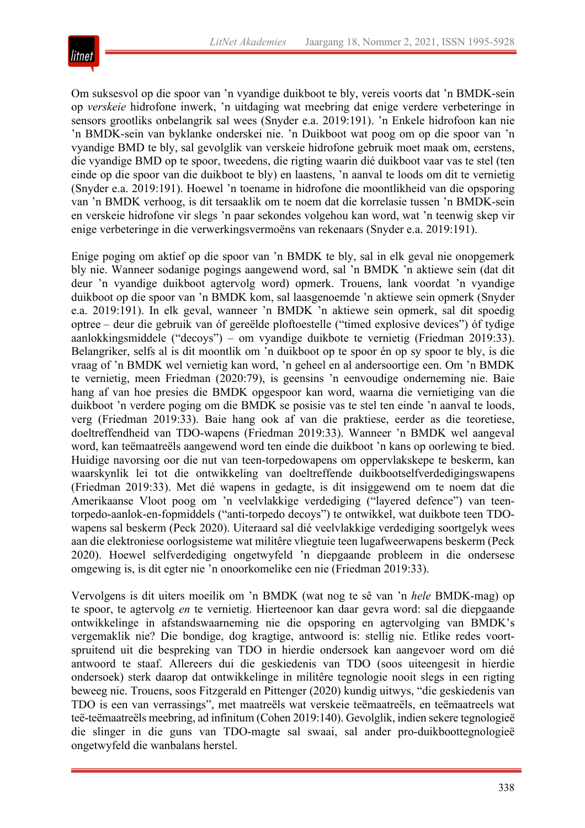

Om suksesvol op die spoor van 'n vyandige duikboot te bly, vereis voorts dat 'n BMDK-sein op *verskeie* hidrofone inwerk, 'n uitdaging wat meebring dat enige verdere verbeteringe in sensors grootliks onbelangrik sal wees (Snyder e.a. 2019:191). 'n Enkele hidrofoon kan nie 'n BMDK-sein van byklanke onderskei nie. 'n Duikboot wat poog om op die spoor van 'n vyandige BMD te bly, sal gevolglik van verskeie hidrofone gebruik moet maak om, eerstens, die vyandige BMD op te spoor, tweedens, die rigting waarin dié duikboot vaar vas te stel (ten einde op die spoor van die duikboot te bly) en laastens, 'n aanval te loods om dit te vernietig (Snyder e.a. 2019:191). Hoewel 'n toename in hidrofone die moontlikheid van die opsporing van 'n BMDK verhoog, is dit tersaaklik om te noem dat die korrelasie tussen 'n BMDK-sein en verskeie hidrofone vir slegs 'n paar sekondes volgehou kan word, wat 'n teenwig skep vir enige verbeteringe in die verwerkingsvermoëns van rekenaars (Snyder e.a. 2019:191).

Enige poging om aktief op die spoor van 'n BMDK te bly, sal in elk geval nie onopgemerk bly nie. Wanneer sodanige pogings aangewend word, sal 'n BMDK 'n aktiewe sein (dat dit deur 'n vyandige duikboot agtervolg word) opmerk. Trouens, lank voordat 'n vyandige duikboot op die spoor van 'n BMDK kom, sal laasgenoemde 'n aktiewe sein opmerk (Snyder e.a. 2019:191). In elk geval, wanneer 'n BMDK 'n aktiewe sein opmerk, sal dit spoedig optree – deur die gebruik van óf gereëlde ploftoestelle ("timed explosive devices") óf tydige aanlokkingsmiddele ("decoys") – om vyandige duikbote te vernietig (Friedman 2019:33). Belangriker, selfs al is dit moontlik om 'n duikboot op te spoor én op sy spoor te bly, is die vraag of 'n BMDK wel vernietig kan word, 'n geheel en al andersoortige een. Om 'n BMDK te vernietig, meen Friedman (2020:79), is geensins 'n eenvoudige onderneming nie. Baie hang af van hoe presies die BMDK opgespoor kan word, waarna die vernietiging van die duikboot 'n verdere poging om die BMDK se posisie vas te stel ten einde 'n aanval te loods, verg (Friedman 2019:33). Baie hang ook af van die praktiese, eerder as die teoretiese, doeltreffendheid van TDO-wapens (Friedman 2019:33). Wanneer 'n BMDK wel aangeval word, kan teëmaatreëls aangewend word ten einde die duikboot 'n kans op oorlewing te bied. Huidige navorsing oor die nut van teen-torpedowapens om oppervlakskepe te beskerm, kan waarskynlik lei tot die ontwikkeling van doeltreffende duikbootselfverdedigingswapens (Friedman 2019:33). Met dié wapens in gedagte, is dit insiggewend om te noem dat die Amerikaanse Vloot poog om 'n veelvlakkige verdediging ("layered defence") van teentorpedo-aanlok-en-fopmiddels ("anti-torpedo decoys") te ontwikkel, wat duikbote teen TDOwapens sal beskerm (Peck 2020). Uiteraard sal dié veelvlakkige verdediging soortgelyk wees aan die elektroniese oorlogsisteme wat militêre vliegtuie teen lugafweerwapens beskerm (Peck 2020). Hoewel selfverdediging ongetwyfeld 'n diepgaande probleem in die ondersese omgewing is, is dit egter nie 'n onoorkomelike een nie (Friedman 2019:33).

Vervolgens is dit uiters moeilik om 'n BMDK (wat nog te sê van 'n *hele* BMDK-mag) op te spoor, te agtervolg *en* te vernietig. Hierteenoor kan daar gevra word: sal die diepgaande ontwikkelinge in afstandswaarneming nie die opsporing en agtervolging van BMDK's vergemaklik nie? Die bondige, dog kragtige, antwoord is: stellig nie. Etlike redes voortspruitend uit die bespreking van TDO in hierdie ondersoek kan aangevoer word om dié antwoord te staaf. Allereers dui die geskiedenis van TDO (soos uiteengesit in hierdie ondersoek) sterk daarop dat ontwikkelinge in militêre tegnologie nooit slegs in een rigting beweeg nie. Trouens, soos Fitzgerald en Pittenger (2020) kundig uitwys, "die geskiedenis van TDO is een van verrassings", met maatreëls wat verskeie teëmaatreëls, en teëmaatreels wat teë-teëmaatreëls meebring, ad infinitum (Cohen 2019:140). Gevolglik, indien sekere tegnologieë die slinger in die guns van TDO-magte sal swaai, sal ander pro-duikboottegnologieë ongetwyfeld die wanbalans herstel.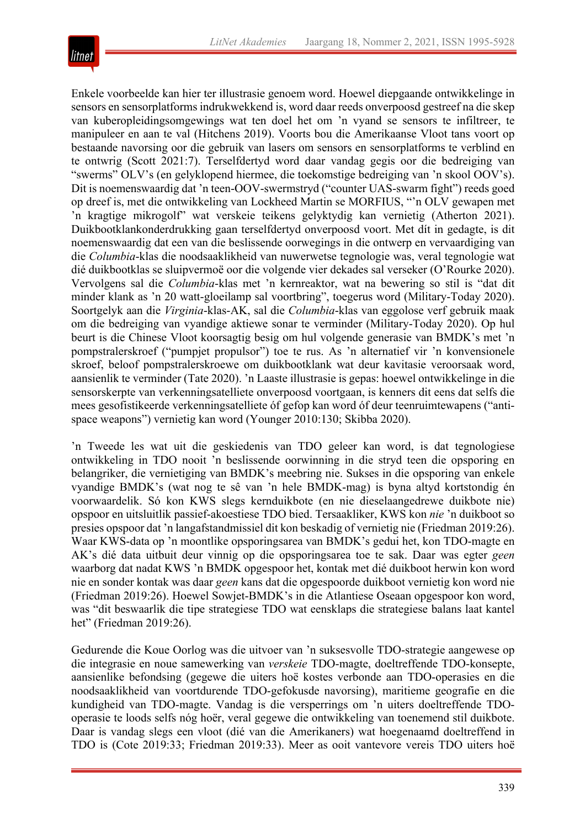

Enkele voorbeelde kan hier ter illustrasie genoem word. Hoewel diepgaande ontwikkelinge in sensors en sensorplatforms indrukwekkend is, word daar reeds onverpoosd gestreef na die skep van kuberopleidingsomgewings wat ten doel het om 'n vyand se sensors te infiltreer, te manipuleer en aan te val (Hitchens 2019). Voorts bou die Amerikaanse Vloot tans voort op bestaande navorsing oor die gebruik van lasers om sensors en sensorplatforms te verblind en te ontwrig (Scott 2021:7). Terselfdertyd word daar vandag gegis oor die bedreiging van "swerms" OLV's (en gelyklopend hiermee, die toekomstige bedreiging van 'n skool OOV's). Dit is noemenswaardig dat 'n teen-OOV-swermstryd ("counter UAS-swarm fight") reeds goed op dreef is, met die ontwikkeling van Lockheed Martin se MORFIUS, "'n OLV gewapen met 'n kragtige mikrogolf" wat verskeie teikens gelyktydig kan vernietig (Atherton 2021). Duikbootklankonderdrukking gaan terselfdertyd onverpoosd voort. Met dít in gedagte, is dit noemenswaardig dat een van die beslissende oorwegings in die ontwerp en vervaardiging van die *Columbia*-klas die noodsaaklikheid van nuwerwetse tegnologie was, veral tegnologie wat dié duikbootklas se sluipvermoë oor die volgende vier dekades sal verseker (O'Rourke 2020). Vervolgens sal die *Columbia*-klas met 'n kernreaktor, wat na bewering so stil is "dat dit minder klank as 'n 20 watt-gloeilamp sal voortbring", toegerus word (Military-Today 2020). Soortgelyk aan die *Virginia*-klas-AK, sal die *Columbia*-klas van eggolose verf gebruik maak om die bedreiging van vyandige aktiewe sonar te verminder (Military-Today 2020). Op hul beurt is die Chinese Vloot koorsagtig besig om hul volgende generasie van BMDK's met 'n pompstralerskroef ("pumpjet propulsor") toe te rus. As 'n alternatief vir 'n konvensionele skroef, beloof pompstralerskroewe om duikbootklank wat deur kavitasie veroorsaak word, aansienlik te verminder (Tate 2020). 'n Laaste illustrasie is gepas: hoewel ontwikkelinge in die sensorskerpte van verkenningsatelliete onverpoosd voortgaan, is kenners dit eens dat selfs die mees gesofistikeerde verkenningsatelliete óf gefop kan word óf deur teenruimtewapens ("antispace weapons") vernietig kan word (Younger 2010:130; Skibba 2020).

'n Tweede les wat uit die geskiedenis van TDO geleer kan word, is dat tegnologiese ontwikkeling in TDO nooit 'n beslissende oorwinning in die stryd teen die opsporing en belangriker, die vernietiging van BMDK's meebring nie. Sukses in die opsporing van enkele vyandige BMDK's (wat nog te sê van 'n hele BMDK-mag) is byna altyd kortstondig én voorwaardelik. Só kon KWS slegs kernduikbote (en nie dieselaangedrewe duikbote nie) opspoor en uitsluitlik passief-akoestiese TDO bied. Tersaakliker, KWS kon *nie* 'n duikboot so presies opspoor dat 'n langafstandmissiel dit kon beskadig of vernietig nie (Friedman 2019:26). Waar KWS-data op 'n moontlike opsporingsarea van BMDK's gedui het, kon TDO-magte en AK's dié data uitbuit deur vinnig op die opsporingsarea toe te sak. Daar was egter *geen* waarborg dat nadat KWS 'n BMDK opgespoor het, kontak met dié duikboot herwin kon word nie en sonder kontak was daar *geen* kans dat die opgespoorde duikboot vernietig kon word nie (Friedman 2019:26). Hoewel Sowjet-BMDK's in die Atlantiese Oseaan opgespoor kon word, was "dit beswaarlik die tipe strategiese TDO wat eensklaps die strategiese balans laat kantel het" (Friedman 2019:26).

Gedurende die Koue Oorlog was die uitvoer van 'n suksesvolle TDO-strategie aangewese op die integrasie en noue samewerking van *verskeie* TDO-magte, doeltreffende TDO-konsepte, aansienlike befondsing (gegewe die uiters hoë kostes verbonde aan TDO-operasies en die noodsaaklikheid van voortdurende TDO-gefokusde navorsing), maritieme geografie en die kundigheid van TDO-magte. Vandag is die versperrings om 'n uiters doeltreffende TDOoperasie te loods selfs nóg hoër, veral gegewe die ontwikkeling van toenemend stil duikbote. Daar is vandag slegs een vloot (dié van die Amerikaners) wat hoegenaamd doeltreffend in TDO is (Cote 2019:33; Friedman 2019:33). Meer as ooit vantevore vereis TDO uiters hoë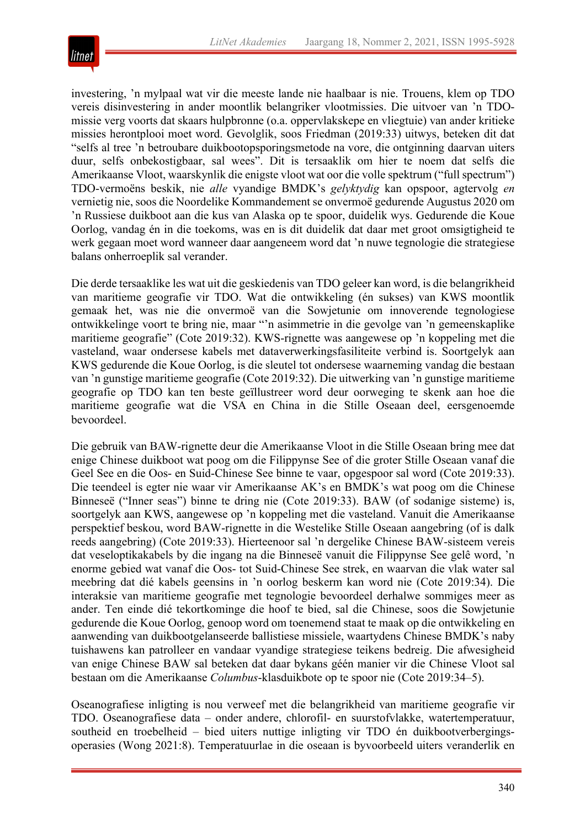

investering, 'n mylpaal wat vir die meeste lande nie haalbaar is nie. Trouens, klem op TDO vereis disinvestering in ander moontlik belangriker vlootmissies. Die uitvoer van 'n TDOmissie verg voorts dat skaars hulpbronne (o.a. oppervlakskepe en vliegtuie) van ander kritieke missies herontplooi moet word. Gevolglik, soos Friedman (2019:33) uitwys, beteken dit dat "selfs al tree 'n betroubare duikbootopsporingsmetode na vore, die ontginning daarvan uiters duur, selfs onbekostigbaar, sal wees". Dit is tersaaklik om hier te noem dat selfs die Amerikaanse Vloot, waarskynlik die enigste vloot wat oor die volle spektrum ("full spectrum") TDO-vermoëns beskik, nie *alle* vyandige BMDK's *gelyktydig* kan opspoor, agtervolg *en* vernietig nie, soos die Noordelike Kommandement se onvermoë gedurende Augustus 2020 om 'n Russiese duikboot aan die kus van Alaska op te spoor, duidelik wys. Gedurende die Koue Oorlog, vandag én in die toekoms, was en is dit duidelik dat daar met groot omsigtigheid te werk gegaan moet word wanneer daar aangeneem word dat 'n nuwe tegnologie die strategiese balans onherroeplik sal verander.

Die derde tersaaklike les wat uit die geskiedenis van TDO geleer kan word, is die belangrikheid van maritieme geografie vir TDO. Wat die ontwikkeling (én sukses) van KWS moontlik gemaak het, was nie die onvermoë van die Sowjetunie om innoverende tegnologiese ontwikkelinge voort te bring nie, maar "'n asimmetrie in die gevolge van 'n gemeenskaplike maritieme geografie" (Cote 2019:32). KWS-rignette was aangewese op 'n koppeling met die vasteland, waar ondersese kabels met dataverwerkingsfasiliteite verbind is. Soortgelyk aan KWS gedurende die Koue Oorlog, is die sleutel tot ondersese waarneming vandag die bestaan van 'n gunstige maritieme geografie (Cote 2019:32). Die uitwerking van 'n gunstige maritieme geografie op TDO kan ten beste geïllustreer word deur oorweging te skenk aan hoe die maritieme geografie wat die VSA en China in die Stille Oseaan deel, eersgenoemde bevoordeel.

Die gebruik van BAW-rignette deur die Amerikaanse Vloot in die Stille Oseaan bring mee dat enige Chinese duikboot wat poog om die Filippynse See of die groter Stille Oseaan vanaf die Geel See en die Oos- en Suid-Chinese See binne te vaar, opgespoor sal word (Cote 2019:33). Die teendeel is egter nie waar vir Amerikaanse AK's en BMDK's wat poog om die Chinese Binneseë ("Inner seas") binne te dring nie (Cote 2019:33). BAW (of sodanige sisteme) is, soortgelyk aan KWS, aangewese op 'n koppeling met die vasteland. Vanuit die Amerikaanse perspektief beskou, word BAW-rignette in die Westelike Stille Oseaan aangebring (of is dalk reeds aangebring) (Cote 2019:33). Hierteenoor sal 'n dergelike Chinese BAW-sisteem vereis dat veseloptikakabels by die ingang na die Binneseë vanuit die Filippynse See gelê word, 'n enorme gebied wat vanaf die Oos- tot Suid-Chinese See strek, en waarvan die vlak water sal meebring dat dié kabels geensins in 'n oorlog beskerm kan word nie (Cote 2019:34). Die interaksie van maritieme geografie met tegnologie bevoordeel derhalwe sommiges meer as ander. Ten einde dié tekortkominge die hoof te bied, sal die Chinese, soos die Sowjetunie gedurende die Koue Oorlog, genoop word om toenemend staat te maak op die ontwikkeling en aanwending van duikbootgelanseerde ballistiese missiele, waartydens Chinese BMDK's naby tuishawens kan patrolleer en vandaar vyandige strategiese teikens bedreig. Die afwesigheid van enige Chinese BAW sal beteken dat daar bykans géén manier vir die Chinese Vloot sal bestaan om die Amerikaanse *Columbus*-klasduikbote op te spoor nie (Cote 2019:34–5).

Oseanografiese inligting is nou verweef met die belangrikheid van maritieme geografie vir TDO. Oseanografiese data – onder andere, chlorofil- en suurstofvlakke, watertemperatuur, southeid en troebelheid – bied uiters nuttige inligting vir TDO én duikbootverbergingsoperasies (Wong 2021:8). Temperatuurlae in die oseaan is byvoorbeeld uiters veranderlik en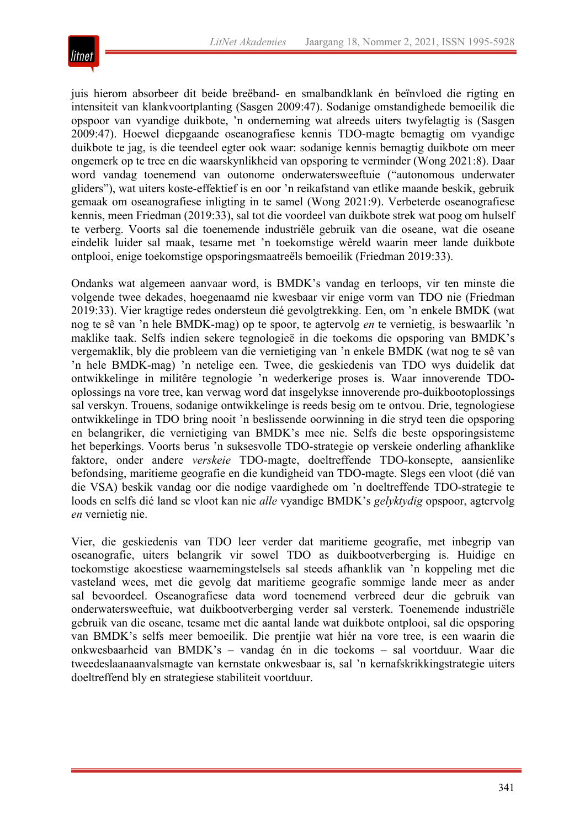

juis hierom absorbeer dit beide breëband- en smalbandklank én beïnvloed die rigting en intensiteit van klankvoortplanting (Sasgen 2009:47). Sodanige omstandighede bemoeilik die opspoor van vyandige duikbote, 'n onderneming wat alreeds uiters twyfelagtig is (Sasgen 2009:47). Hoewel diepgaande oseanografiese kennis TDO-magte bemagtig om vyandige duikbote te jag, is die teendeel egter ook waar: sodanige kennis bemagtig duikbote om meer ongemerk op te tree en die waarskynlikheid van opsporing te verminder (Wong 2021:8). Daar word vandag toenemend van outonome onderwatersweeftuie ("autonomous underwater gliders"), wat uiters koste-effektief is en oor 'n reikafstand van etlike maande beskik, gebruik gemaak om oseanografiese inligting in te samel (Wong 2021:9). Verbeterde oseanografiese kennis, meen Friedman (2019:33), sal tot die voordeel van duikbote strek wat poog om hulself te verberg. Voorts sal die toenemende industriële gebruik van die oseane, wat die oseane eindelik luider sal maak, tesame met 'n toekomstige wêreld waarin meer lande duikbote ontplooi, enige toekomstige opsporingsmaatreëls bemoeilik (Friedman 2019:33).

Ondanks wat algemeen aanvaar word, is BMDK's vandag en terloops, vir ten minste die volgende twee dekades, hoegenaamd nie kwesbaar vir enige vorm van TDO nie (Friedman 2019:33). Vier kragtige redes ondersteun dié gevolgtrekking. Een, om 'n enkele BMDK (wat nog te sê van 'n hele BMDK-mag) op te spoor, te agtervolg *en* te vernietig, is beswaarlik 'n maklike taak. Selfs indien sekere tegnologieë in die toekoms die opsporing van BMDK's vergemaklik, bly die probleem van die vernietiging van 'n enkele BMDK (wat nog te sê van 'n hele BMDK-mag) 'n netelige een. Twee, die geskiedenis van TDO wys duidelik dat ontwikkelinge in militêre tegnologie 'n wederkerige proses is. Waar innoverende TDOoplossings na vore tree, kan verwag word dat insgelykse innoverende pro-duikbootoplossings sal verskyn. Trouens, sodanige ontwikkelinge is reeds besig om te ontvou. Drie, tegnologiese ontwikkelinge in TDO bring nooit 'n beslissende oorwinning in die stryd teen die opsporing en belangriker, die vernietiging van BMDK's mee nie. Selfs die beste opsporingsisteme het beperkings. Voorts berus 'n suksesvolle TDO-strategie op verskeie onderling afhanklike faktore, onder andere *verskeie* TDO-magte, doeltreffende TDO-konsepte, aansienlike befondsing, maritieme geografie en die kundigheid van TDO-magte. Slegs een vloot (dié van die VSA) beskik vandag oor die nodige vaardighede om 'n doeltreffende TDO-strategie te loods en selfs dié land se vloot kan nie *alle* vyandige BMDK's *gelyktydig* opspoor, agtervolg *en* vernietig nie.

Vier, die geskiedenis van TDO leer verder dat maritieme geografie, met inbegrip van oseanografie, uiters belangrik vir sowel TDO as duikbootverberging is. Huidige en toekomstige akoestiese waarnemingstelsels sal steeds afhanklik van 'n koppeling met die vasteland wees, met die gevolg dat maritieme geografie sommige lande meer as ander sal bevoordeel. Oseanografiese data word toenemend verbreed deur die gebruik van onderwatersweeftuie, wat duikbootverberging verder sal versterk. Toenemende industriële gebruik van die oseane, tesame met die aantal lande wat duikbote ontplooi, sal die opsporing van BMDK's selfs meer bemoeilik. Die prentjie wat hiér na vore tree, is een waarin die onkwesbaarheid van BMDK's – vandag én in die toekoms – sal voortduur. Waar die tweedeslaanaanvalsmagte van kernstate onkwesbaar is, sal 'n kernafskrikkingstrategie uiters doeltreffend bly en strategiese stabiliteit voortduur.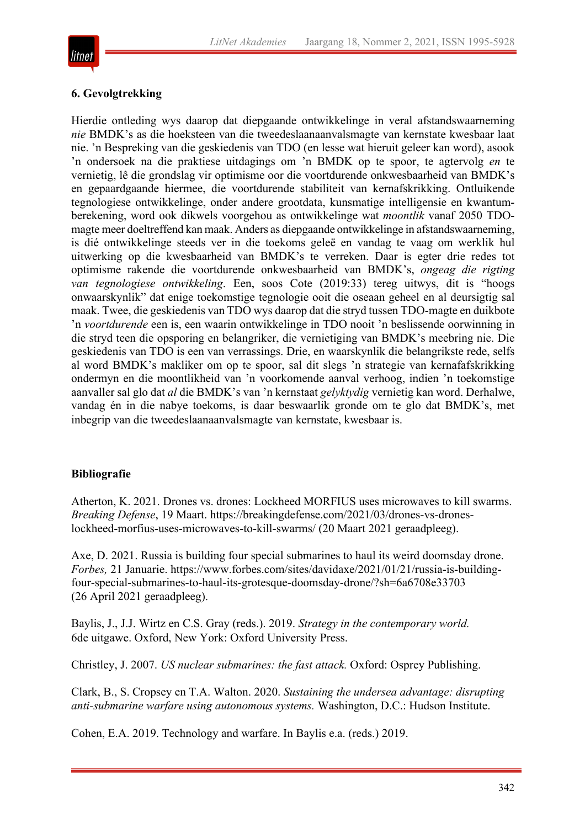

#### **6. Gevolgtrekking**

Hierdie ontleding wys daarop dat diepgaande ontwikkelinge in veral afstandswaarneming *nie* BMDK's as die hoeksteen van die tweedeslaanaanvalsmagte van kernstate kwesbaar laat nie. 'n Bespreking van die geskiedenis van TDO (en lesse wat hieruit geleer kan word), asook 'n ondersoek na die praktiese uitdagings om 'n BMDK op te spoor, te agtervolg *en* te vernietig, lê die grondslag vir optimisme oor die voortdurende onkwesbaarheid van BMDK's en gepaardgaande hiermee, die voortdurende stabiliteit van kernafskrikking. Ontluikende tegnologiese ontwikkelinge, onder andere grootdata, kunsmatige intelligensie en kwantumberekening, word ook dikwels voorgehou as ontwikkelinge wat *moontlik* vanaf 2050 TDOmagte meer doeltreffend kan maak. Anders as diepgaande ontwikkelinge in afstandswaarneming, is dié ontwikkelinge steeds ver in die toekoms geleë en vandag te vaag om werklik hul uitwerking op die kwesbaarheid van BMDK's te verreken. Daar is egter drie redes tot optimisme rakende die voortdurende onkwesbaarheid van BMDK's, *ongeag die rigting van tegnologiese ontwikkeling*. Een, soos Cote (2019:33) tereg uitwys, dit is "hoogs onwaarskynlik" dat enige toekomstige tegnologie ooit die oseaan geheel en al deursigtig sal maak. Twee, die geskiedenis van TDO wys daarop dat die stryd tussen TDO-magte en duikbote 'n *voortdurende* een is, een waarin ontwikkelinge in TDO nooit 'n beslissende oorwinning in die stryd teen die opsporing en belangriker, die vernietiging van BMDK's meebring nie. Die geskiedenis van TDO is een van verrassings. Drie, en waarskynlik die belangrikste rede, selfs al word BMDK's makliker om op te spoor, sal dit slegs 'n strategie van kernafafskrikking ondermyn en die moontlikheid van 'n voorkomende aanval verhoog, indien 'n toekomstige aanvaller sal glo dat *al* die BMDK's van 'n kernstaat *gelyktydig* vernietig kan word. Derhalwe, vandag én in die nabye toekoms, is daar beswaarlik gronde om te glo dat BMDK's, met inbegrip van die tweedeslaanaanvalsmagte van kernstate, kwesbaar is.

#### **Bibliografie**

Atherton, K. 2021. Drones vs. drones: Lockheed MORFIUS uses microwaves to kill swarms. *Breaking Defense*, 19 Maart. https://breakingdefense.com/2021/03/drones-vs-droneslockheed-morfius-uses-microwaves-to-kill-swarms/ (20 Maart 2021 geraadpleeg).

Axe, D. 2021. Russia is building four special submarines to haul its weird doomsday drone. *Forbes,* 21 Januarie. https://www.forbes.com/sites/davidaxe/2021/01/21/russia-is-buildingfour-special-submarines-to-haul-its-grotesque-doomsday-drone/?sh=6a6708e33703 (26 April 2021 geraadpleeg).

Baylis, J., J.J. Wirtz en C.S. Gray (reds.). 2019. *Strategy in the contemporary world.* 6de uitgawe. Oxford, New York: Oxford University Press.

Christley, J. 2007. *US nuclear submarines: the fast attack.* Oxford: Osprey Publishing.

Clark, B., S. Cropsey en T.A. Walton. 2020. *Sustaining the undersea advantage: disrupting anti-submarine warfare using autonomous systems.* Washington, D.C.: Hudson Institute.

Cohen, E.A. 2019. Technology and warfare. In Baylis e.a. (reds.) 2019.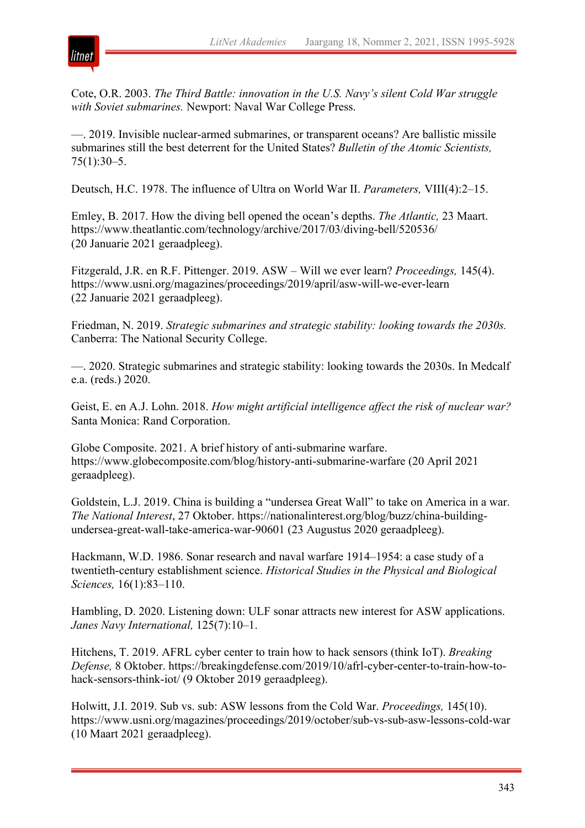

Cote, O.R. 2003. *The Third Battle: innovation in the U.S. Navy's silent Cold War struggle with Soviet submarines.* Newport: Naval War College Press.

—. 2019. Invisible nuclear-armed submarines, or transparent oceans? Are ballistic missile submarines still the best deterrent for the United States? *Bulletin of the Atomic Scientists,* 75(1):30–5.

Deutsch, H.C. 1978. The influence of Ultra on World War II. *Parameters,* VIII(4):2–15.

Emley, B. 2017. How the diving bell opened the ocean's depths. *The Atlantic,* 23 Maart. https://www.theatlantic.com/technology/archive/2017/03/diving-bell/520536/ (20 Januarie 2021 geraadpleeg).

Fitzgerald, J.R. en R.F. Pittenger. 2019. ASW – Will we ever learn? *Proceedings,* 145(4). https://www.usni.org/magazines/proceedings/2019/april/asw-will-we-ever-learn (22 Januarie 2021 geraadpleeg).

Friedman, N. 2019. *Strategic submarines and strategic stability: looking towards the 2030s.* Canberra: The National Security College.

—. 2020. Strategic submarines and strategic stability: looking towards the 2030s. In Medcalf e.a. (reds.) 2020.

Geist, E. en A.J. Lohn. 2018. *How might artificial intelligence affect the risk of nuclear war?* Santa Monica: Rand Corporation.

Globe Composite. 2021. A brief history of anti-submarine warfare. https://www.globecomposite.com/blog/history-anti-submarine-warfare (20 April 2021 geraadpleeg).

Goldstein, L.J. 2019. China is building a "undersea Great Wall" to take on America in a war. *The National Interest*, 27 Oktober. https://nationalinterest.org/blog/buzz/china-buildingundersea-great-wall-take-america-war-90601 (23 Augustus 2020 geraadpleeg).

Hackmann, W.D. 1986. Sonar research and naval warfare 1914–1954: a case study of a twentieth-century establishment science. *Historical Studies in the Physical and Biological Sciences,* 16(1):83–110.

Hambling, D. 2020. Listening down: ULF sonar attracts new interest for ASW applications. *Janes Navy International,* 125(7):10–1.

Hitchens, T. 2019. AFRL cyber center to train how to hack sensors (think IoT). *Breaking Defense,* 8 Oktober. https://breakingdefense.com/2019/10/afrl-cyber-center-to-train-how-tohack-sensors-think-iot/ (9 Oktober 2019 geraadpleeg).

Holwitt, J.I. 2019. Sub vs. sub: ASW lessons from the Cold War. *Proceedings,* 145(10). https://www.usni.org/magazines/proceedings/2019/october/sub-vs-sub-asw-lessons-cold-war (10 Maart 2021 geraadpleeg).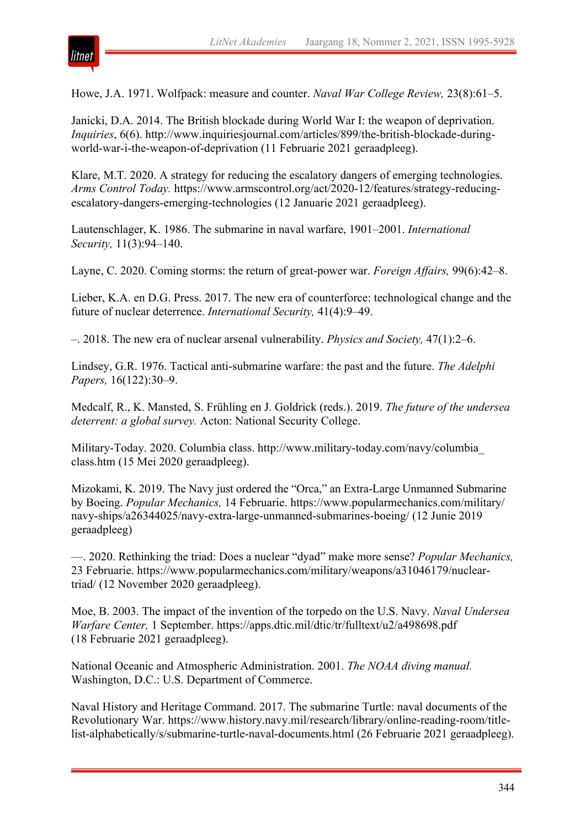

Howe, J.A. 1971. Wolfpack: measure and counter. *Naval War College Review,* 23(8):61–5.

Janicki, D.A. 2014. The British blockade during World War I: the weapon of deprivation. *Inquiries*, 6(6). http://www.inquiriesjournal.com/articles/899/the-british-blockade-duringworld-war-i-the-weapon-of-deprivation (11 Februarie 2021 geraadpleeg).

Klare, M.T. 2020. A strategy for reducing the escalatory dangers of emerging technologies. *Arms Control Today.* https://www.armscontrol.org/act/2020-12/features/strategy-reducingescalatory-dangers-emerging-technologies (12 Januarie 2021 geraadpleeg).

Lautenschlager, K. 1986. The submarine in naval warfare, 1901–2001. *International Security,* 11(3):94–140.

Layne, C. 2020. Coming storms: the return of great-power war. *Foreign Affairs,* 99(6):42–8.

Lieber, K.A. en D.G. Press. 2017. The new era of counterforce: technological change and the future of nuclear deterrence. *International Security,* 41(4):9–49.

–. 2018. The new era of nuclear arsenal vulnerability. *Physics and Society,* 47(1):2–6.

Lindsey, G.R. 1976. Tactical anti-submarine warfare: the past and the future. *The Adelphi Papers,* 16(122):30–9.

Medcalf, R., K. Mansted, S. Frühling en J. Goldrick (reds.). 2019. *The future of the undersea deterrent: a global survey.* Acton: National Security College.

Military-Today. 2020. Columbia class. http://www.military-today.com/navy/columbia\_ class.htm (15 Mei 2020 geraadpleeg).

Mizokami, K. 2019. The Navy just ordered the "Orca," an Extra-Large Unmanned Submarine by Boeing. *Popular Mechanics,* 14 Februarie. https://www.popularmechanics.com/military/ navy-ships/a26344025/navy-extra-large-unmanned-submarines-boeing/ (12 Junie 2019 geraadpleeg)

—. 2020. Rethinking the triad: Does a nuclear "dyad" make more sense? *Popular Mechanics,* 23 Februarie. https://www.popularmechanics.com/military/weapons/a31046179/nucleartriad/ (12 November 2020 geraadpleeg).

Moe, B. 2003. The impact of the invention of the torpedo on the U.S. Navy. *Naval Undersea Warfare Center,* 1 September. https://apps.dtic.mil/dtic/tr/fulltext/u2/a498698.pdf (18 Februarie 2021 geraadpleeg).

National Oceanic and Atmospheric Administration. 2001. *The NOAA diving manual.* Washington, D.C.: U.S. Department of Commerce.

Naval History and Heritage Command. 2017. The submarine Turtle: naval documents of the Revolutionary War. https://www.history.navy.mil/research/library/online-reading-room/titlelist-alphabetically/s/submarine-turtle-naval-documents.html (26 Februarie 2021 geraadpleeg).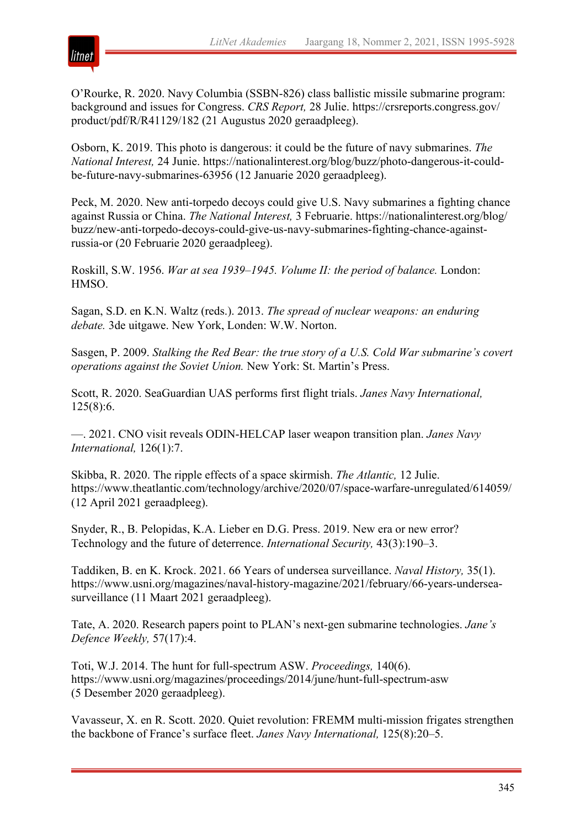

O'Rourke, R. 2020. Navy Columbia (SSBN-826) class ballistic missile submarine program: background and issues for Congress. *CRS Report,* 28 Julie. https://crsreports.congress.gov/ product/pdf/R/R41129/182 (21 Augustus 2020 geraadpleeg).

Osborn, K. 2019. This photo is dangerous: it could be the future of navy submarines. *The National Interest,* 24 Junie. https://nationalinterest.org/blog/buzz/photo-dangerous-it-couldbe-future-navy-submarines-63956 (12 Januarie 2020 geraadpleeg).

Peck, M. 2020. New anti-torpedo decoys could give U.S. Navy submarines a fighting chance against Russia or China. *The National Interest,* 3 Februarie. https://nationalinterest.org/blog/ buzz/new-anti-torpedo-decoys-could-give-us-navy-submarines-fighting-chance-againstrussia-or (20 Februarie 2020 geraadpleeg).

Roskill, S.W. 1956. *War at sea 1939–1945. Volume II: the period of balance.* London: HMSO.

Sagan, S.D. en K.N. Waltz (reds.). 2013. *The spread of nuclear weapons: an enduring debate.* 3de uitgawe. New York, Londen: W.W. Norton.

Sasgen, P. 2009. *Stalking the Red Bear: the true story of a U.S. Cold War submarine's covert operations against the Soviet Union.* New York: St. Martin's Press.

Scott, R. 2020. SeaGuardian UAS performs first flight trials. *Janes Navy International,* 125(8):6.

—. 2021. CNO visit reveals ODIN-HELCAP laser weapon transition plan. *Janes Navy International,* 126(1):7.

Skibba, R. 2020. The ripple effects of a space skirmish. *The Atlantic,* 12 Julie. https://www.theatlantic.com/technology/archive/2020/07/space-warfare-unregulated/614059/ (12 April 2021 geraadpleeg).

Snyder, R., B. Pelopidas, K.A. Lieber en D.G. Press. 2019. New era or new error? Technology and the future of deterrence. *International Security,* 43(3):190–3.

Taddiken, B. en K. Krock. 2021. 66 Years of undersea surveillance. *Naval History,* 35(1). https://www.usni.org/magazines/naval-history-magazine/2021/february/66-years-underseasurveillance (11 Maart 2021 geraadpleeg).

Tate, A. 2020. Research papers point to PLAN's next-gen submarine technologies. *Jane's Defence Weekly,* 57(17):4.

Toti, W.J. 2014. The hunt for full-spectrum ASW. *Proceedings,* 140(6). https://www.usni.org/magazines/proceedings/2014/june/hunt-full-spectrum-asw (5 Desember 2020 geraadpleeg).

Vavasseur, X. en R. Scott. 2020. Quiet revolution: FREMM multi-mission frigates strengthen the backbone of France's surface fleet. *Janes Navy International,* 125(8):20–5.